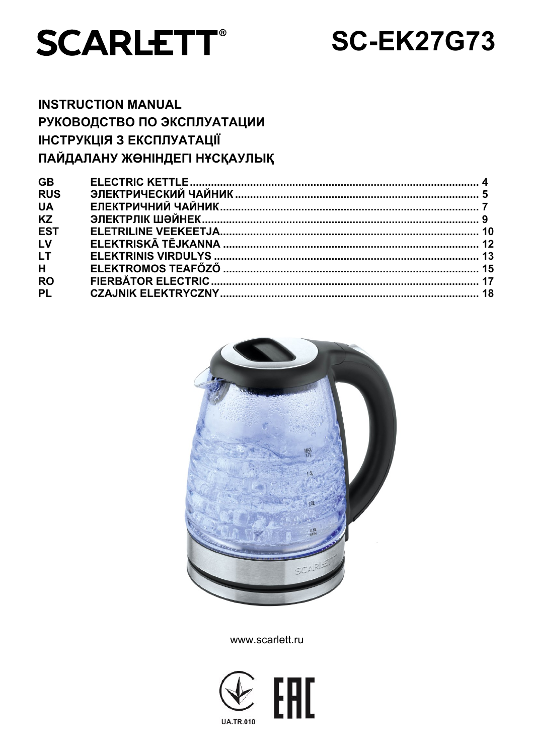

# **SC-EK27G73**

## **INSTRUCTION MANUAL** РУКОВОДСТВО ПО ЭКСПЛУАТАЦИИ **ІНСТРУКЦІЯ З ЕКСПЛУАТАЦІЇ** ПАЙДАЛАНУ ЖӨНІНДЕГІ НҰСҚАУЛЫҚ

| <b>GB</b>  |  |
|------------|--|
| <b>RUS</b> |  |
| <b>UA</b>  |  |
| <b>KZ</b>  |  |
| <b>EST</b> |  |
| LV         |  |
| <b>LT</b>  |  |
| H          |  |
| <b>RO</b>  |  |
| <b>PL</b>  |  |
|            |  |



www.scarlett.ru

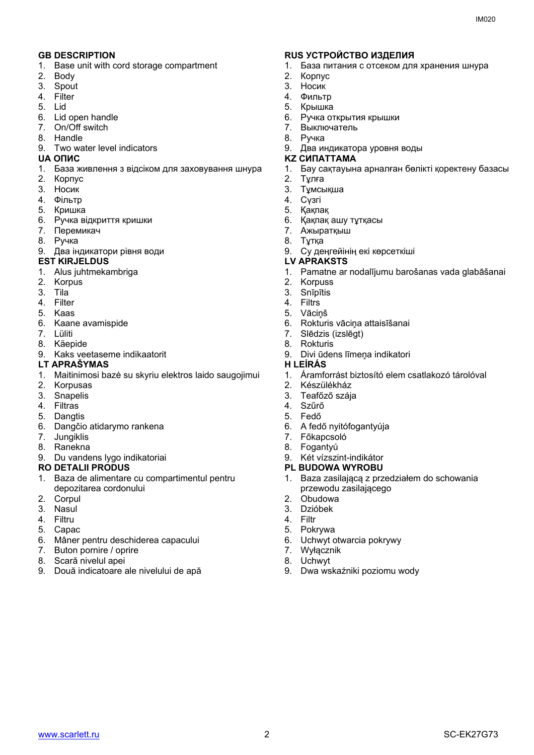- 1. Base unit with cord storage compartment
- 2. Body
- 3. Spout
- 4. Filter
- 5. Lid
- 6. Lid open handle
- 7. On/Off switch
- 8. Handle
- 9. Two water level indicators

- 1. База живлення з відсіком для заховування шнура
- 2. Корпус
- 3. Носик
- 4. Фільтр
- 5. Кришка
- 6. Ручка відкриття кришки
- 7. Перемикач
- 8. Ручка
- 9. Два індикатори рівня води

#### **EST KIRJELDUS LV APRAKSTS**

- 1. Alus juhtmekambriga
- 2. Korpus
- 3. Tila
- 4. Filter
- 5. Kaas
- 6. Kaane avamispide
- 7. Lüliti
- 8. Käepide
- 9. Kaks veetaseme indikaatorit

#### **LT APRAŠYMAS H LEÍRÁS**

- 1. Maitinimosi bazė su skyriu elektros laido saugojimui
- 2. Korpusas
- 3. Snapelis
- 4. Filtras
- 5. Dangtis
- 6. Dangčio atidarymo rankena
- 7. Jungiklis
- 8. Ranekna
- 9. Du vandens lygo indikatoriai

#### **RO DETALII PRODUS PL BUDOWA WYROBU**

- 1. Baza de alimentare cu compartimentul pentru depozitarea cordonului
- 2. Corpul
- 3. Nasul
- 4. Filtru
- 5. Capac
- 6. Mâner pentru deschiderea capacului
- 7. Buton pornire / oprire
- 8. Scară nivelul apei
- 9. Două indicatoare ale nivelului de apă

#### **GB DESCRIPTION RUS УСТРОЙСТВО ИЗДЕЛИЯ**

- 1. База питания с отсеком для хранения шнура
- 2. Корпус
- 3. Носик
- 4. Фильтр
- 5. Крышка
- 6. Ручка открытия крышки
- 7. Выключатель
- 8. Ручка
- 9. Два индикатора уровня воды
- **UA ОПИС KZ СИПАТТАМА**
	- 1. Бау сақтауына арналған бөлікті қоректену базасы
	- 2. Тұлға
	- 3. Тұмсықша
	- 4. Сүзгі
	- 5. Қақпақ
	- 6. Қақпақ ашу тұтқасы
	- 7. Ажыратқыш
	- 8. Тұтқа
	- 9. Су деңгейінің екі көрсеткіші

- 1. Pamatne ar nodalījumu barošanas vada glabāšanai
- 2. Korpuss<br>3. Snīpītis
- **Snīpītis**
- 4. Filtrs
- 5. Vāciņš
- 6. Rokturis vāciņa attaisīšanai
- 7. Slēdzis (izslēgt)
- 8. Rokturis
- 9. Divi ūdens līmeņa indikatori

- 1. Áramforrást biztosító elem csatlakozó tárolóval
- 2. Készülékház
- 3. Teafőző szája
- 4. Szűrő
- 5. Fedő
- 6. A fedő nyitófogantyúja
- 7. Főkapcsoló
- 8. Fogantyú
- 9. Két vízszint-indikátor
- 
- 1. Baza zasilającą z przedziałem do schowania przewodu zasilającego
- 2. Obudowa
- 3. Dzióbek
- 4. Filtr

[www.scarlett.ru](http://www.scarlett.ru/) SC-EK27G73

- 5. Pokrywa
- 6. Uchwyt otwarcia pokrywy

9. Dwa wskaźniki poziomu wody

- 7. Wyłącznik
- 8. Uchwyt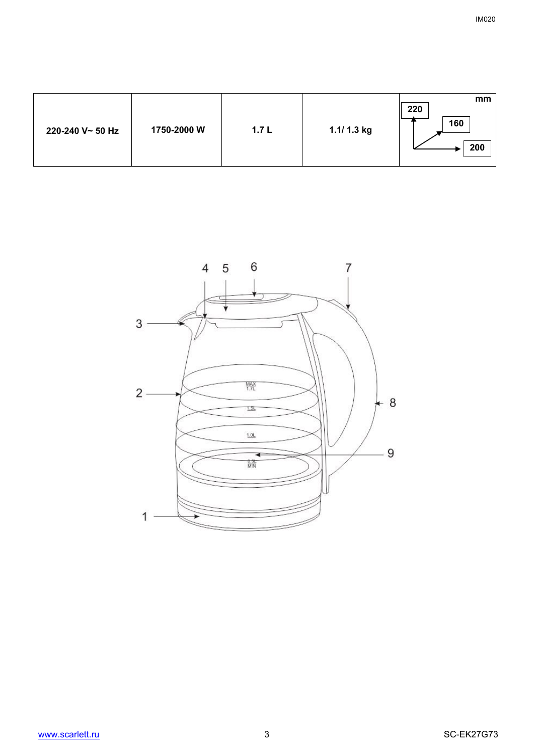| 1750-2000 W<br>220-240 V~ 50 Hz | 1.7L | 1.1/ 1.3 kg | mm<br>220<br>160<br>200 |
|---------------------------------|------|-------------|-------------------------|
|---------------------------------|------|-------------|-------------------------|

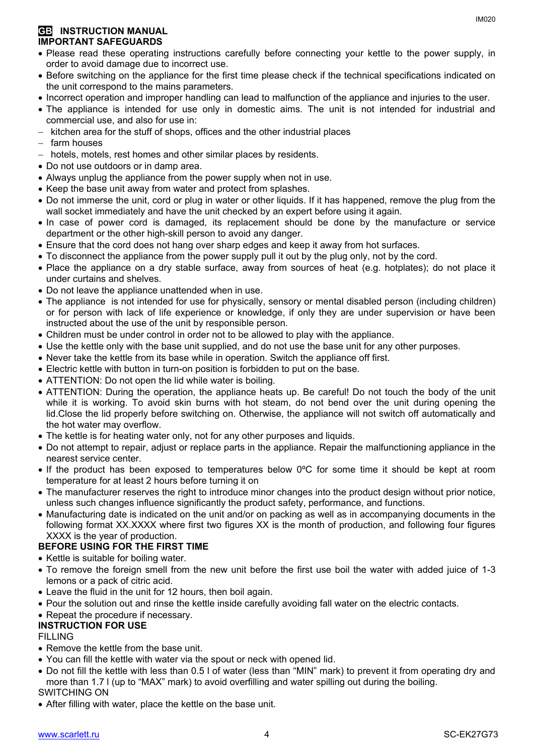#### **GB INSTRUCTION MANUAL IMPORTANT SAFEGUARDS**

- Please read these operating instructions carefully before connecting your kettle to the power supply, in order to avoid damage due to incorrect use.
- Before switching on the appliance for the first time please check if the technical specifications indicated on the unit correspond to the mains parameters.
- Incorrect operation and improper handling can lead to malfunction of the appliance and injuries to the user.
- The appliance is intended for use only in domestic aims. The unit is not intended for industrial and commercial use, and also for use in:
- kitchen area for the stuff of shops, offices and the other industrial places
- farm houses
- hotels, motels, rest homes and other similar places by residents.
- Do not use outdoors or in damp area.
- Always unplug the appliance from the power supply when not in use.
- Keep the base unit away from water and protect from splashes.
- Do not immerse the unit, cord or plug in water or other liquids. If it has happened, remove the plug from the wall socket immediately and have the unit checked by an expert before using it again.
- In case of power cord is damaged, its replacement should be done by the manufacture or service department or the other high-skill person to avoid any danger.
- Ensure that the cord does not hang over sharp edges and keep it away from hot surfaces.
- To disconnect the appliance from the power supply pull it out by the plug only, not by the cord.
- Place the appliance on a dry stable surface, away from sources of heat (e.g. hotplates); do not place it under curtains and shelves.
- Do not leave the appliance unattended when in use.
- The appliance is not intended for use for [physically, sensory or mental disabled](https://www.multitran.ru/c/m.exe?t=5841801_1_2&s1=%F7%E5%EB%EE%E2%E5%EA%20%F1%20%EE%E3%F0%E0%ED%E8%F7%E5%ED%ED%FB%EC%E8%20%E2%EE%E7%EC%EE%E6%ED%EE%F1%F2%FF%EC%E8) person (including children) or for person with lack of life experience or knowledge, if only they are under supervision or have been instructed about the use of the unit by responsible person.
- Children must be under control in order not to be allowed to play with the appliance.
- Use the kettle only with the base unit supplied, and do not use the base unit for any other purposes.
- Never take the kettle from its base while in operation. Switch the appliance off first.
- Electric kettle with button in turn-on position is forbidden to put on the base.
- ATTENTION: Do not open the lid while water is boiling.
- ATTENTION: During the operation, the appliance heats up. Be careful! Do not touch the body of the unit while it is working. To avoid skin burns with hot steam, do not bend over the unit during opening the lid.Close the lid properly before switching on. Otherwise, the appliance will not switch off automatically and the hot water may overflow.
- The kettle is for heating water only, not for any other purposes and liquids.
- Do not attempt to repair, adjust or replace parts in the appliance. Repair the malfunctioning appliance in the nearest service center.
- If the product has been exposed to temperatures below  $0^{\circ}$ C for some time it should be kept at room temperature for at least 2 hours before turning it on
- The manufacturer reserves the right to introduce minor changes into the product design without prior notice, unless such changes influence significantly the product safety, performance, and functions.
- Manufacturing date is indicated on the unit and/or on packing as well as in accompanying documents in the following format XX.XXXX where first two figures XX is the month of production, and following four figures XXXX is the year of production.

### **BEFORE USING FOR THE FIRST TIME**

- Kettle is suitable for boiling water.
- To remove the foreign smell from the new unit before the first use boil the water with added juice of 1-3 lemons or a pack of citric acid.
- Leave the fluid in the unit for 12 hours, then boil again.
- Pour the solution out and rinse the kettle inside carefully avoiding fall water on the electric contacts.
- Repeat the procedure if necessary.

### **INSTRUCTION FOR USE**

#### FILLING

- Remove the kettle from the base unit.
- You can fill the kettle with water via the spout or neck with opened lid.
- Do not fill the kettle with less than 0.5 l of water (less than "MIN" mark) to prevent it from operating dry and more than 1.7 l (up to "MAX" mark) to avoid overfilling and water spilling out during the boiling. SWITCHING ON
- After filling with water, place the kettle on the base unit.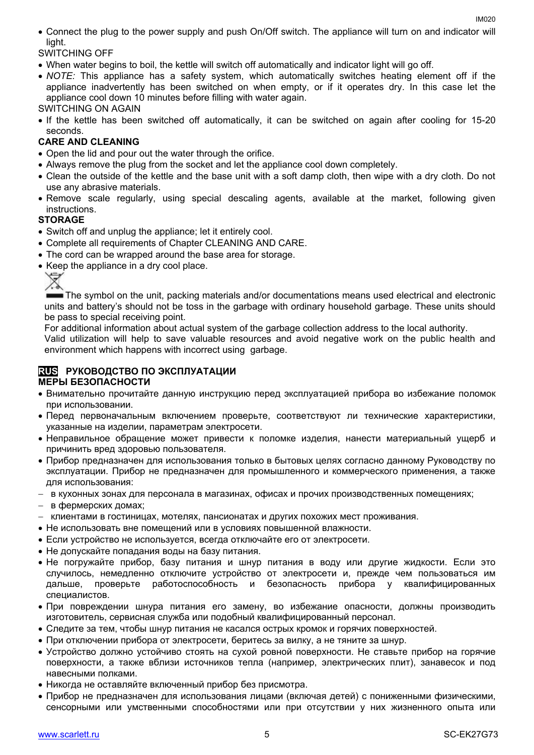Connect the plug to the power supply and push On/Off switch. The appliance will turn on and indicator will light.

SWITCHING OFF

- When water begins to boil, the kettle will switch off automatically and indicator light will go off.
- *NOTE:* This appliance has a safety system, which automatically switches heating element off if the appliance inadvertently has been switched on when empty, or if it operates dry. In this case let the appliance cool down 10 minutes before filling with water again.
- SWITCHING ON AGAIN
- If the kettle has been switched off automatically, it can be switched on again after cooling for 15-20 seconds.

### **CARE AND CLEANING**

- Open the lid and pour out the water through the orifice.
- Always remove the plug from the socket and let the appliance cool down completely.
- Clean the outside of the kettle and the base unit with a soft damp cloth, then wipe with a dry cloth. Do not use any abrasive materials.
- Remove scale regularly, using special descaling agents, available at the market, following given instructions.

#### **STORAGE**

- Switch off and unplug the appliance; let it entirely cool.
- Complete all requirements of Chapter CLEANING AND CARE.
- The cord can be wrapped around the base area for storage.
- Keep the appliance in a dry cool place.

The symbol on the unit, packing materials and/or documentations means used electrical and electronic units and battery's should not be toss in the garbage with ordinary household garbage. These units should be pass to special receiving point.

For additional information about actual system of the garbage collection address to the local authority.

Valid utilization will help to save valuable resources and avoid negative work on the public health and environment which happens with incorrect using garbage.

#### **RUS РУКОВОДСТВО ПО ЭКСПЛУАТАЦИИ МЕРЫ БЕЗОПАСНОСТИ**

- Внимательно прочитайте данную инструкцию перед эксплуатацией прибора во избежание поломок при использовании.
- Перед первоначальным включением проверьте, соответствуют ли технические характеристики, указанные на изделии, параметрам электросети.
- Неправильное обращение может привести к поломке изделия, нанести материальный ущерб и причинить вред здоровью пользователя.
- Прибор предназначен для использования только в бытовых целях согласно данному Руководству по эксплуатации. Прибор не предназначен для промышленного и коммерческого применения, а также для использования:
- в кухонных зонах для персонала в магазинах, офисах и прочих производственных помещениях;
- в фермерских домах;
- клиентами в гостиницах, мотелях, пансионатах и других похожих мест проживания.
- Не использовать вне помещений или в условиях повышенной влажности.
- Если устройство не используется, всегда отключайте его от электросети.
- Не допускайте попадания воды на базу питания.
- Не погружайте прибор, базу питания и шнур питания в воду или другие жидкости. Если это случилось, немедленно отключите устройство от электросети и, прежде чем пользоваться им дальше, проверьте работоспособность и безопасность прибора у квалифицированных специалистов.
- При повреждении шнура питания его замену, во избежание опасности, должны производить изготовитель, сервисная служба или подобный квалифицированный персонал.
- Следите за тем, чтобы шнур питания не касался острых кромок и горячих поверхностей.
- При отключении прибора от электросети, беритесь за вилку, а не тяните за шнур.
- Устройство должно устойчиво стоять на сухой ровной поверхности. Не ставьте прибор на горячие поверхности, а также вблизи источников тепла (например, электрических плит), занавесок и под навесными полками.
- Никогда не оставляйте включенный прибор без присмотра.
- Прибор не предназначен для использования лицами (включая детей) с пониженными физическими, сенсорными или умственными способностями или при отсутствии у них жизненного опыта или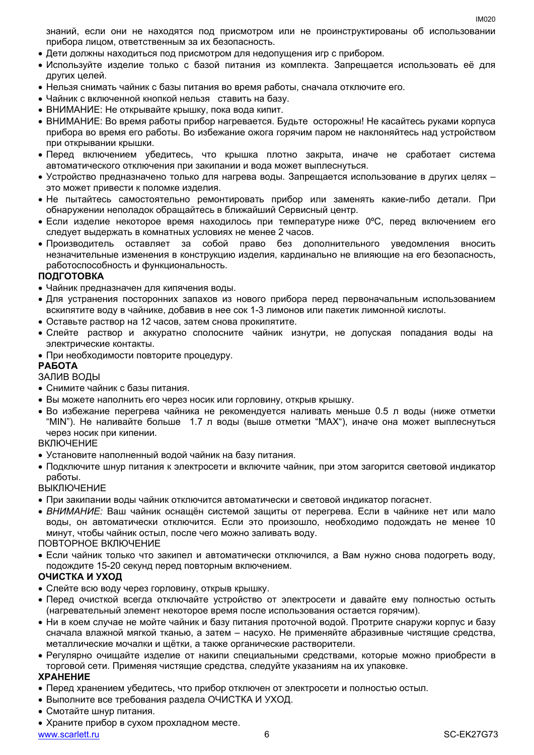знаний, если они не находятся под присмотром или не проинструктированы об использовании прибора лицом, ответственным за их безопасность.

- Дети должны находиться под присмотром для недопущения игр с прибором.
- Используйте изделие только с базой питания из комплекта. Запрещается использовать её для других целей.
- Нельзя снимать чайник с базы питания во время работы, сначала отключите его.
- Чайник с включенной кнопкой нельзя ставить на базу.
- ВНИМАНИЕ: Не открывайте крышку, пока вода кипит.
- ВНИМАНИЕ: Во время работы прибор нагревается. Будьте осторожны! Не касайтесь руками корпуса прибора во время его работы. Во избежание ожога горячим паром не наклоняйтесь над устройством при открывании крышки.
- Перед включением убедитесь, что крышка плотно закрыта, иначе не сработает система автоматического отключения при закипании и вода может выплеснуться.
- Устройство предназначено только для нагрева воды. Запрещается использование в других целях это может привести к поломке изделия.
- Не пытайтесь самостоятельно ремонтировать прибор или заменять какие-либо детали. При обнаружении неполадок обращайтесь в ближайший Сервисный центр.
- $\bullet$  Если изделие некоторое время находилось при температуре ниже 0°С, перед включением его следует выдержать в комнатных условиях не менее 2 часов.
- Производитель оставляет за собой право без дополнительного уведомления вносить незначительные изменения в конструкцию изделия, кардинально не влияющие на его безопасность, работоспособность и функциональность.

#### **ПОДГОТОВКА**

- Чайник предназначен для кипячения воды.
- Для устранения посторонних запахов из нового прибора перед первоначальным использованием вскипятите воду в чайнике, добавив в нее сок 1-3 лимонов или пакетик лимонной кислоты.
- Оставьте раствор на 12 часов, затем снова прокипятите.
- Слейте раствор и аккуратно сполосните чайник изнутри, не допуская попадания воды на электрические контакты.
- При необходимости повторите процедуру.

#### **РАБОТА**

ЗАЛИВ ВОДЫ

- Снимите чайник с базы питания.
- Вы можете наполнить его через носик или горловину, открыв крышку.
- Во избежание перегрева чайника не рекомендуется наливать меньше 0.5 л воды (ниже отметки "MIN"). Не наливайте больше 1.7 л воды (выше отметки "MAX"), иначе она может выплеснуться через носик при кипении.

#### **ВКЛЮЧЕНИЕ**

- Установите наполненный водой чайник на базу питания.
- Подключите шнур питания к электросети и включите чайник, при этом загорится световой индикатор работы.

#### ВЫКЛЮЧЕНИЕ

- При закипании воды чайник отключится автоматически и световой индикатор погаснет.
- *ВНИМАНИЕ:* Ваш чайник оснащён системой защиты от перегрева. Если в чайнике нет или мало воды, он автоматически отключится. Если это произошло, необходимо подождать не менее 10 минут, чтобы чайник остыл, после чего можно заливать воду.

#### ПОВТОРНОЕ ВКЛЮЧЕНИЕ

 Если чайник только что закипел и автоматически отключился, а Вам нужно снова подогреть воду, подождите 15-20 секунд перед повторным включением.

#### **ОЧИСТКА И УХОД**

- Слейте всю воду через горловину, открыв крышку.
- Перед очисткой всегда отключайте устройство от электросети и давайте ему полностью остыть (нагревательный элемент некоторое время после использования остается горячим).
- Ни в коем случае не мойте чайник и базу питания проточной водой. Протрите снаружи корпус и базу сначала влажной мягкой тканью, а затем – насухо. Не применяйте абразивные чистящие средства, металлические мочалки и щётки, а также органические растворители.
- Регулярно очищайте изделие от накипи специальными средствами, которые можно приобрести в торговой сети. Применяя чистящие средства, следуйте указаниям на их упаковке.

#### **ХРАНЕНИЕ**

- Перед хранением убедитесь, что прибор отключен от электросети и полностью остыл.
- Выполните все требования раздела ОЧИСТКА И УХОД.
- Смотайте шнур питания.
- Храните прибор в сухом прохладном месте.

[www.scarlett.ru](http://www.scarlett.ru/) 6 SC-EK27G73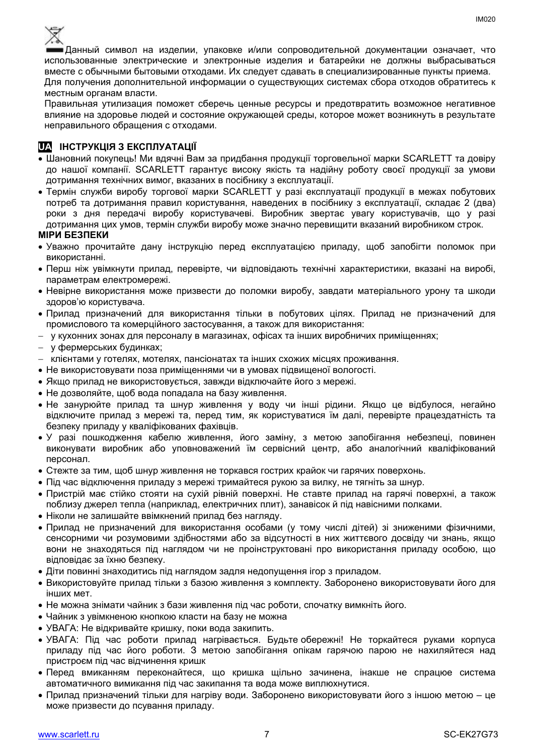

Данный символ на изделии, упаковке и/или сопроводительной документации означает, что использованные электрические и электронные изделия и батарейки не должны выбрасываться вместе с обычными бытовыми отходами. Их следует сдавать в специализированные пункты приема. Для получения дополнительной информации о существующих системах сбора отходов обратитесь к местным органам власти.

Правильная утилизация поможет сберечь ценные ресурсы и предотвратить возможное негативное влияние на здоровье людей и состояние окружающей среды, которое может возникнуть в результате неправильного обращения с отходами.

#### **UA ІНСТРУКЦІЯ З ЕКСПЛУАТАЦІЇ**

- Шановний покупець! Ми вдячні Вам за придбання продукції торговельної марки SCARLETT та довіру до нашої компанії. SCARLETT гарантує високу якість та надійну роботу своєї продукції за умови дотримання технічних вимог, вказаних в посібнику з експлуатації.
- Термін служби виробу торгової марки SCARLETT у разі експлуатації продукції в межах побутових потреб та дотримання правил користування, наведених в посібнику з експлуатації, складає 2 (два) роки з дня передачі виробу користувачеві. Виробник звертає увагу користувачів, що у разі дотримання цих умов, термін служби виробу може значно перевищити вказаний виробником строк.

#### **МІРИ БЕЗПЕКИ**

- Уважно прочитайте дану інструкцію перед експлуатацією приладу, щоб запобігти поломок при використанні.
- Перш ніж увімкнути прилад, перевірте, чи відповідають технічні характеристики, вказані на виробі, параметрам електромережі.
- Невiрне використання може призвести до поломки виробу, завдати матеріального урону та шкоди здоров'ю користувача.
- Прилад призначений для використання тільки в побутових цілях. Прилад не призначений для промислового та комерційного застосування, а також для використання:
- у кухонних зонах для персоналу в магазинах, офісах та інших виробничих приміщеннях;
- у фермерських будинках;
- клієнтами у готелях, мотелях, пансіонатах та інших схожих місцях проживання.
- Не використовувати поза приміщеннями чи в умовах підвищеної вологості.
- Якщо прилад не використовується, завжди відключайте його з мережі.
- Не дозволяйте, щоб вода попадала на базу живлення.
- Не занурюйте прилад та шнур живлення у воду чи інші рідини. Якщо це відбулося, негайно відключите прилад з мережі та, перед тим, як користуватися їм далі, перевірте працездатність та безпеку приладу у кваліфікованих фахівців.
- У разі пошкодження кабелю живлення, його заміну, з метою запобігання небезпеці, повинен виконувати виробник або уповноважений їм сервісний центр, або аналогічний кваліфікований персонал.
- Стежте за тим, щоб шнур живлення не торкався гострих крайок чи гарячих поверхонь.
- Пiд час відключення приладу з мережі тримайтеся рукою за вилку, не тягніть за шнур.
- Пристрій має стійко стояти на сухій рiвній поверхні. Не ставте прилад на гарячі поверхні, а також поблизу джерел тепла (наприклад, електричних плит), занавісок й під навісними полками.
- Ніколи не залишайте ввімкнений прилад без нагляду.
- Прилад не призначений для використання особами (у тому числі дітей) зі зниженими фізичними, сенсорними чи розумовими здібностями або за відсутності в них життєвого досвіду чи знань, якщо вони не знаходяться під наглядом чи не проінструктовані про використання приладу особою, що відповідає за їхню безпеку.
- Діти повинні знаходитись під наглядом задля недопущення ігор з приладом.
- Використовуйте прилад тільки з базою живлення з комплекту. Заборонено використовувати його для iнших мет.
- Не можна знімати чайник з бази живлення пiд час роботи, спочатку вимкніть його.
- Чайник з увімкненою кнопкою класти на базу не можна
- УВАГА: Не відкривайте кришку, поки вода закипить.
- УВАГА: Під час роботи прилад нагрівається. Будьте обережні! Не торкайтеся руками корпуса приладу під час його роботи. З метою запобігання опікам гарячою парою не нахиляйтеся над пристроєм під час відчинення кришк
- Перед вмиканням переконайтеся, що кришка щільно зачинена, інакше не спрацюе система автоматичного вимикання пiд час закипання та вода може виплюхнутися.
- Прилад призначений тільки для нагріву води. Заборонено використовувати його з іншою метою це може призвести до псування приладу.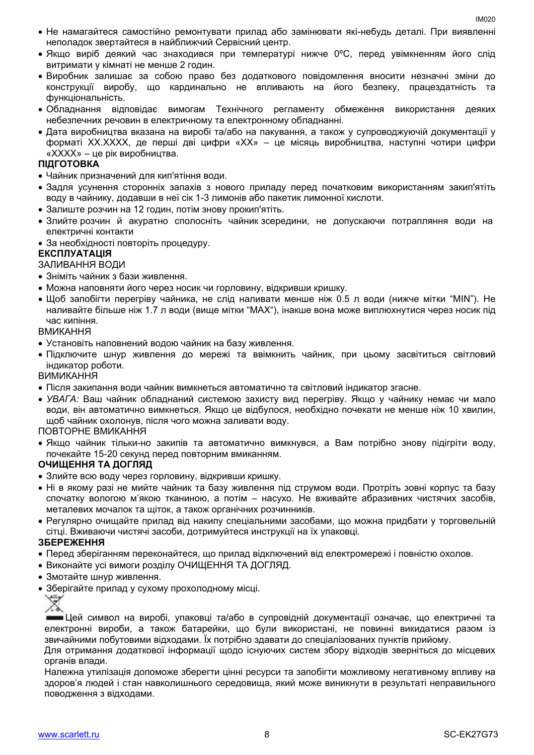- Не намагайтеся самостійно ремонтувати прилад або замінювати які-небудь деталі. При виявленні неполадок звертайтеся в найближчий Сервісний центр.
- Якщо виріб деякий час знаходився при температурі нижче 0ºC, перед увімкненням його слід витримати у кімнаті не менше 2 годин.
- Виробник залишає за собою право без додаткового повідомлення вносити незначні зміни до конструкції виробу, що кардинально не впливають на його безпеку, працездатність та функціональність.
- Обладнання відповідає вимогам Технічного регламенту обмеження використання деяких небезпечних речовин в електричному та електронному обладнанні.
- Дата виробництва вказана на виробі та/або на пакування, а також у супроводжуючій документації у форматі XX.XXXX, де перші дві цифри «XX» – це місяць виробництва, наступні чотири цифри «XXXX» – це рік виробництва.

#### **ПІДГОТОВКА**

- Чайник призначений для кип'ятіння води.
- Задля усунення сторонніх запахів з нового приладу перед початковим використанням закип'ятіть воду в чайнику, додавши в неї сік 1-3 лимонів або пакетик лимонної кислоти.
- Залиште розчин на 12 годин, потім знову прокип'ятіть.
- Злийте розчин й акуратно сполосніть чайник зсередини, не допускаючи потрапляння води на електричні контакти
- За необхідності повторіть процедуру.

#### **ЕКСПЛУАТАЦІЯ**

ЗАЛИВАННЯ ВОДИ

- Зніміть чайник з бази живлення.
- Можна наповняти його через носик чи горловину, відкривши кришку.
- Щоб запобігти перегріву чайника, не слiд наливати менше ніж 0.5 л води (нижче мітки "MIN"). Не наливайте більше ніж 1.7 л води (вище мітки "MAX"), інакше вона може виплюхнутися через носик пiд час кипіння.

ВМИКАННЯ

- Установіть наповнений водою чайник на базу живлення.
- Підключите шнур живлення до мережі та ввімкнить чайник, при цьому засвітиться світловий індикатор роботи.

ВИМИКАННЯ

- Після закипання води чайник вимкнеться автоматично та світловий індикатор згасне.
- *УВАГА:* Ваш чайник обладнаний системою захисту вид перегріву. Якщо у чайнику немає чи мало води, він автоматично вимкнеться. Якщо це відбулося, необхідно почекати не менше ніж 10 хвилин, щоб чайник охолонув, після чого можна заливати воду.

#### ПОВТОРНЕ ВМИКАННЯ

 Якщо чайник тільки-но закипів та автоматично вимкнувся, а Вам потрібно знову підігріти воду, почекайте 15-20 секунд перед повторним вмиканням.

#### **ОЧИЩЕННЯ ТА ДОГЛЯД**

- Злийте всю воду через горловину, відкривши кришку.
- Ні в якому разі не мийте чайник та базу живлення під струмом води. Протріть зовні корпус та базу спочатку вологою м'якою тканиною, а потім – насухо. Не вживайте абразивних чистячих засобів, металевих мочалок та щіток, а також органічних розчинників.
- Регулярно очищайте прилад від накипу спеціальними засобами, що можна придбати у торговельній сітці. Вживаючи чистячі засоби, дотримуйтеся инструкції на їх упаковці.

#### **ЗБЕРЕЖЕННЯ**

- Перед зберіганням переконайтеся, що прилад відключений від електромережі і повністю охолов.
- Виконайте усі вимоги розділу ОЧИЩЕННЯ ТА ДОГЛЯД.
- Змотайте шнур живлення.
- Зберігайте прилад у сухому прохолодному місці.



Цей символ на виробі, упаковці та/або в супровідній документації означає, що електричні та електронні вироби, а також батарейки, що були використані, не повинні викидатися разом із звичайними побутовими відходами. Їх потрібно здавати до спеціалізованих пунктів прийому.

Для отримання додаткової інформації щодо існуючих систем збору відходів зверніться до місцевих органів влади.

Належна утилізація допоможе зберегти цінні ресурси та запобігти можливому негативному впливу на здоров'я людей і стан навколишнього середовища, який може виникнути в результаті неправильного поводження з відходами.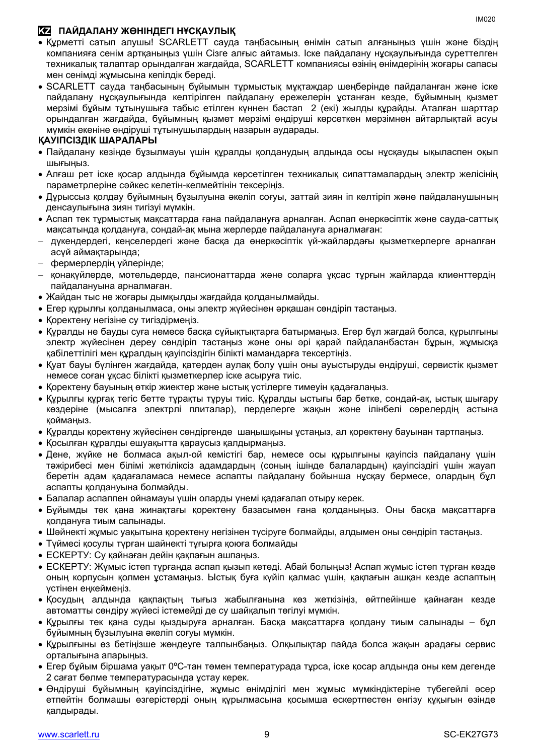### **KZ ПАЙДАЛАНУ ЖӨНІНДЕГІ НҰСҚАУЛЫҚ**

- Құрметті сатып алушы! SCARLETT сауда таңбасының өнімін сатып алғаныңыз үшін және біздің компанияға сенім артқаныңыз үшін Сізге алғыс айтамыз. Іске пайдалану нұсқаулығында суреттелген техникалық талаптар орындалған жағдайда, SCARLETT компаниясы өзінің өнімдерінің жоғары сапасы мен сенімді жұмысына кепілдік береді.
- SCARLETT сауда таңбасының бұйымын тұрмыстық мұқтаждар шеңберінде пайдаланған және іске пайдалану нұсқаулығында келтірілген пайдалану ережелерін ұстанған кезде, бұйымның қызмет мерзімі бұйым тұтынушыға табыс етілген күннен бастап 2 (екі) жылды құрайды. Аталған шарттар орындалған жағдайда, бұйымның қызмет мерзімі өндіруші көрсеткен мерзімнен айтарлықтай асуы мүмкін екеніне өндіруші тұтынушылардың назарын аударады.

#### **ҚАУІПСІЗДІК ШАРАЛАРЫ**

- Пайдалану кезінде бұзылмауы үшін құралды қолданудың алдында осы нұсқауды ықыласпен оқып шығыңыз.
- Алғаш рет іске қосар алдында бұйымда көрсетілген техникалық сипаттамалардың электр желісінің параметрлеріне сәйкес келетін-келмейтінін тексеріңіз.
- Дұрыссыз қолдау бұйымның бұзылуына әкеліп соғуы, заттай зиян іп келтіріп және пайдаланушының денсаулығына зиян тигізуі мүмкін.
- Аспап тек тұрмыстық мақсаттарда ғана пайдалануға арналған. Аспап өнеркәсіптік және сауда-саттық мақсатында қолдануға, сондай-ақ мына жерлерде пайдалануға арналмаған:
- дүкендердегі, кеңселердегі және басқа да өнеркәсіптік үй-жайлардағы қызметкерлерге арналған асүй аймақтарында;
- фермерлердің үйлерінде;
- қонақүйлерде, мотельдерде, пансионаттарда және соларға ұқсас тұрғын жайларда клиенттердің пайдалануына арналмаған.
- Жайдан тыс не жоғары дымқылды жағдайда қолданылмайды.
- Егер құрылғы қолданылмаса, оны электр жүйесінен әрқашан сөндіріп тастаңыз.
- Қоректену негізіне су тигіздірмеңіз.
- Құралды не бауды суға немесе басқа сұйықтықтарға батырмаңыз. Егер бұл жағдай болса, құрылғыны электр жүйесінен дереу сөндіріп тастаңыз және оны әрі қарай пайдаланбастан бұрын, жұмысқа қабілеттілігі мен құралдың қауіпсіздігін білікті мамандарға тексертіңіз.
- Қуат бауы бүлінген жағдайда, қатерден аулақ болу үшін оны ауыстыруды өндіруші, сервистік қызмет немесе соған ұқсас білікті қызметкерлер іске асыруға тиіс.
- Қоректену бауының өткір жиектер және ыстық үстілерге тимеуін қадағалаңыз.
- Құрылғы құрғақ тегіс бетте тұрақты тұруы тиіс. Құралды ыстығы бар бетке, сондай-ақ, ыстық шығару көздеріне (мысалға электрлі плиталар), перделерге жақын және ілінбелі сөрелердің астына қоймаңыз.
- Құралды қоректену жүйесінен сөндіргенде шаңышқыны ұстаңыз, ал қоректену бауынан тартпаңыз.
- Қосылған құралды ешуақытта қараусыз қалдырмаңыз.
- Дене, жүйке не болмаса ақыл-ой кемістігі бар, немесе осы құрылғыны қауіпсіз пайдалану үшін тәжірибесі мен білімі жеткіліксіз адамдардың (соның ішінде балалардың) қауіпсіздігі үшін жауап беретін адам қадағаламаса немесе аспапты пайдалану бойынша нұсқау бермесе, олардың бұл аспапты қолдануына болмайды.
- Балалар аспаппен ойнамауы үшін оларды үнемі қадағалап отыру керек.
- Бұйымды тек қана жинақтағы қоректену базасымен ғана қолданыңыз. Оны басқа мақсаттарға қолдануға тиым салынады.
- Шәйнекті жұмыс уақытына қоректену негізінен түсіруге болмайды, алдымен оны сөндіріп тастаңыз.
- Түймесі қосулы түрған шайнекті тұғырға қоюға болмайды
- ЕСКЕРТУ: Су қайнаған дейін қақпағын ашпаңыз.
- ЕСКЕРТУ: Жұмыс істеп тұрғанда аспап қызып кетеді. Абай болыңыз! Аспап жұмыс істеп тұрған кезде оның корпусын қолмен ұстамаңыз. Ыстық буға күйіп қалмас үшін, қақпағын ашқан кезде аспаптың үстінен еңкеймеңіз.
- Қосудың алдында қақпақтың тығыз жабылғанына көз жеткізіңіз, өйтпейінше қайнаған кезде автоматты сөндіру жүйесі істемейді де су шайқалып төгілуі мүмкін.
- Құрылғы тек қана суды қыздыруға арналған. Басқа мақсаттарға қолдану тиым салынады бұл бұйымның бұзылуына әкеліп соғуы мүмкін.
- Құрылғыны өз бетіңізше жөндеуге талпынбаңыз. Олқылықтар пайда болса жақын арадағы сервис орталығына апарыңыз.
- Егер бұйым біршама уақыт 0°С-тан төмен температурада тұрса, іске қосар алдында оны кем дегенде 2 сағат бөлме температурасында ұстау керек.
- Өндіруші бұйымның қауіпсіздігіне, жұмыс өнімділігі мен жұмыс мүмкіндіктеріне түбегейлі әсер етпейтін болмашы өзгерістерді оның құрылмасына қосымша ескертпестен енгізу құқығын өзінде қалдырады.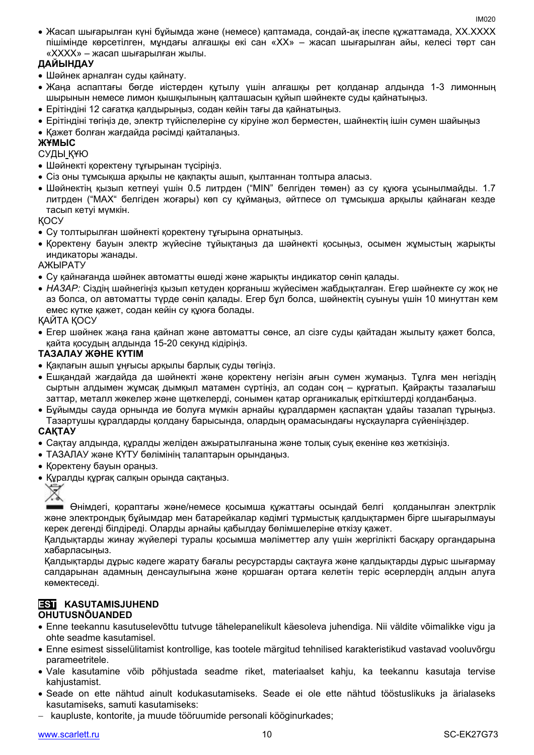Жасап шығарылған күні бұйымда және (немесе) қаптамада, сондай-ақ ілеспе құжаттамада, XX.XXXX пішімінде көрсетілген, мұндағы алғашқы екі сан «XX» – жасап шығарылған айы, келесі төрт сан «XXXX» – жасап шығарылған жылы.

### **ДАЙЫНДАУ**

- Шәйнек арналған суды қайнату.
- Жаңа аспаптағы бөгде иістерден құтылу үшін алғашқы рет қолданар алдында 1-3 лимонның шырынын немесе лимон қышқылының қалташасын құйып шәйнекте суды қайнатыңыз.
- Ерітіндіні 12 сағатқа қалдырыңыз, содан кейін тағы да қайнатыңыз.
- Ерітіндіні төгіңіз де, электр түйіспелеріне су кіруіне жол берместен, шайнектің ішін сумен шайыңыз
- Қажет болған жағдайда рәсімді қайталаңыз.

#### **ЖҰМЫС**

СУДЫ ҚҰЮ

- Шәйнекті қоректену тұғырынан түсіріңіз.
- Сіз оны тұмсықша арқылы не қақпақты ашып, қылтаннан толтыра алаcыз.
- Шәйнектің қызып кетпеуі үшін 0.5 литрден ("MIN" белгіден төмен) аз су құюға ұсынылмайды. 1.7 литрден ("MAX" белгіден жоғары) көп су құймаңыз, әйтпесе ол тұмсықша арқылы қайнаған кезде тасып кетуі мүмкін.

ҚОСУ

- Су толтырылған шәйнекті қоректену тұғырына орнатыңыз.
- Қоректену бауын электр жүйесіне тұйықтаңыз да шәйнекті қосыңыз, осымен жұмыстың жарықты индикаторы жанады.

АЖЫРАТУ

- Су қайнағанда шәйнек автоматты өшеді және жарықты индикатор сөніп қалады.
- *НАЗАР:* Сіздің шәйнегіңіз қызып кетуден қорғаныш жүйесімен жабдықталған. Егер шәйнекте су жоқ не аз болса, ол автоматты түрде сөніп қалады. Егер бұл болса, шәйнектің суынуы үшін 10 минуттан кем емес күтке қажет, содан кейін су құюға болады.

ҚАЙТА ҚОСУ

 Егер шәйнек жаңа ғана қайнап және автоматты сөнсе, ал сізге суды қайтадан жылыту қажет болса, қайта қосудың алдында 15-20 секунд кідіріңіз.

#### **ТАЗАЛАУ ЖӘНЕ КҮТІМ**

- Қақпағын ашып ұңғысы арқылы барлық суды төгіңіз.
- Ешқандай жағдайда да шәйнекті және қоректену негізін ағын сумен жумаңыз. Тұлға мен негіздің сыртын алдымен жұмсақ дымқыл матамен сүртіңіз, ал содан соң – құрғатып. Қайрақты тазалағыш заттар, металл жөкелер және щөткелерді, сонымен қатар органикалық еріткіштерді қолданбаңыз.
- Бұйымды сауда орнында ие болуға мүмкін арнайы құралдармен қаспақтан ұдайы тазалап тұрыңыз. Тазартушы құралдарды қолдану барысында, олардың орамасындағы нұсқауларға сүйеніңіздер.

#### **САҚТАУ**

- Cақтау алдында, құралды желіден ажыратылғанына және толық суық екеніне көз жеткізіңіз.
- ТАЗАЛАУ және КҮТУ бөлімінің талаптарын орындаңыз.
- Қоректену бауын ораңыз.
- Құралды құрғақ салқын орында сақтаңыз.



Өнімдегі, қораптағы және/немесе қосымша құжаттағы осындай белгі қолданылған электрлік және электрондық бұйымдар мен батарейкалар кәдімгі тұрмыстық қалдықтармен бірге шығарылмауы керек дегенді білдіреді. Оларды арнайы қабылдау бөлімшелеріне өткізу қажет.

Қалдықтарды жинау жүйелері туралы қосымша мәліметтер алу үшін жергілікті басқару органдарына хабарласыңыз.

Қалдықтарды дұрыс кәдеге жарату бағалы ресурстарды сақтауға және қалдықтарды дұрыс шығармау салдарынан адамның денсаулығына және қоршаған ортаға келетін теріс әсерлердің алдын алуға көмектеседі.

# **EST KASUTAMISJUHEND**

#### **OHUTUSNÕUANDED**

- Enne teekannu kasutuselevõttu tutvuge tähelepanelikult käesoleva juhendiga. Nii väldite võimalikke vigu ja ohte seadme kasutamisel.
- Enne esimest sisselülitamist kontrollige, kas tootele märgitud tehnilised karakteristikud vastavad vooluvõrgu parameetritele.
- Vale kasutamine võib põhjustada seadme riket, materiaalset kahju, ka teekannu kasutaja tervise kahjustamist.
- Seade on ette nähtud ainult kodukasutamiseks. Seade ei ole ette nähtud tööstuslikuks ja ärialaseks kasutamiseks, samuti kasutamiseks:
- kaupluste, kontorite, ja muude tööruumide personali kööginurkades;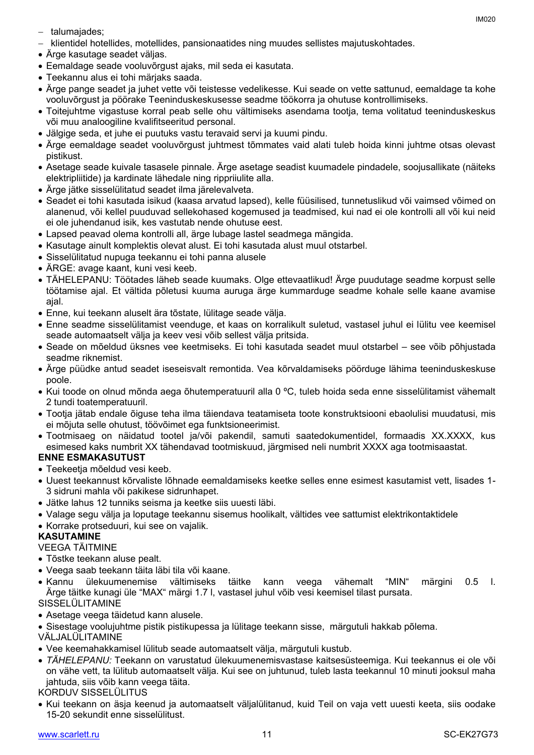- $-$  talumajades;
- klientidel hotellides, motellides, pansionaatides ning muudes sellistes majutuskohtades.
- Ärge kasutage seadet väljas.
- Eemaldage seade vooluvõrgust ajaks, mil seda ei kasutata.
- Teekannu alus ei tohi märjaks saada.
- Ärge pange seadet ja juhet vette või teistesse vedelikesse. Kui seade on vette sattunud, eemaldage ta kohe vooluvõrgust ja pöörake Teeninduskeskusesse seadme töökorra ja ohutuse kontrollimiseks.
- Toitejuhtme vigastuse korral peab selle ohu vältimiseks asendama tootja, tema volitatud teeninduskeskus või muu analoogiline kvalifitseeritud personal.
- Jälgige seda, et juhe ei puutuks vastu teravaid servi ja kuumi pindu.
- Ärge eemaldage seadet vooluvõrgust juhtmest tõmmates vaid alati tuleb hoida kinni juhtme otsas olevast pistikust.
- Asetage seade kuivale tasasele pinnale. Ärge asetage seadist kuumadele pindadele, soojusallikate (näiteks elektripliitide) ja kardinate lähedale ning rippriiulite alla.
- Ärge jätke sisselülitatud seadet ilma järelevalveta.
- Seadet ei tohi kasutada isikud (kaasa arvatud lapsed), kelle füüsilised, tunnetuslikud või vaimsed võimed on alanenud, või kellel puuduvad sellekohased kogemused ja teadmised, kui nad ei ole kontrolli all või kui neid ei ole juhendanud isik, kes vastutab nende ohutuse eest.
- Lapsed peavad olema kontrolli all, ärge lubage lastel seadmega mängida.
- Kasutage ainult komplektis olevat alust. Ei tohi kasutada alust muul otstarbel.
- Sisselülitatud nupuga teekannu ei tohi panna alusele
- ÄRGE: avage kaant, kuni vesi keeb.
- TÄHELEPANU: Töötades läheb seade kuumaks. Olge ettevaatlikud! Ärge puudutage seadme korpust selle töötamise ajal. Et vältida põletusi kuuma auruga ärge kummarduge seadme kohale selle kaane avamise ajal.
- Enne, kui teekann aluselt ära tõstate, lülitage seade välja.
- Enne seadme sisselülitamist veenduge, et kaas on korralikult suletud, vastasel juhul ei lülitu vee keemisel seade automaatselt välja ja keev vesi võib sellest välja pritsida.
- Seade on mõeldud üksnes vee keetmiseks. Ei tohi kasutada seadet muul otstarbel see võib põhjustada seadme riknemist.
- Ärge püüdke antud seadet iseseisvalt remontida. Vea kõrvaldamiseks pöörduge lähima teeninduskeskuse poole.
- Kui toode on olnud mõnda aega õhutemperatuuril alla 0 °C, tuleb hoida seda enne sisselülitamist vähemalt 2 tundi toatemperatuuril.
- Tootja jätab endale õiguse teha ilma täiendava teatamiseta toote konstruktsiooni ebaolulisi muudatusi, mis ei mõjuta selle ohutust, töövõimet ega funktsioneerimist.
- Tootmisaeg on näidatud tootel ja/või pakendil, samuti saatedokumentidel, formaadis XX.XXXX, kus esimesed kaks numbrit XX tähendavad tootmiskuud, järgmised neli numbrit XXXX aga tootmisaastat.

#### **ENNE ESMAKASUTUST**

- Teekeetja mõeldud vesi keeb.
- Uuest teekannust kõrvaliste lõhnade eemaldamiseks keetke selles enne esimest kasutamist vett, lisades 1- 3 sidruni mahla või pakikese sidrunhapet.
- Jätke lahus 12 tunniks seisma ja keetke siis uuesti läbi.
- Valage segu välja ja loputage teekannu sisemus hoolikalt, vältides vee sattumist elektrikontaktidele
- Korrake protseduuri, kui see on vajalik.

#### **KASUTAMINE**

#### VEEGA TÄITMINE

- Tõstke teekann aluse pealt.
- Veega saab teekann täita läbi tila või kaane.
- Kannu ülekuumenemise vältimiseks täitke kann veega vähemalt "MIN" märgini 0.5 l. Ärge täitke kunagi üle "MAX" märgi 1.7 l, vastasel juhul võib vesi keemisel tilast pursata. SISSELÜLITAMINE
- Asetage veega täidetud kann alusele.
- Sisestage voolujuhtme pistik pistikupessa ja lülitage teekann sisse, märgutuli hakkab põlema.

#### VÄLJALÜLITAMINE

- Vee keemahakkamisel lülitub seade automaatselt välja, märgutuli kustub.
- *TÄHELEPANU:* Teekann on varustatud ülekuumenemisvastase kaitsesüsteemiga. Kui teekannus ei ole või on vähe vett, ta lülitub automaatselt välja. Kui see on juhtunud, tuleb lasta teekannul 10 minuti jooksul maha jahtuda, siis võib kann veega täita.

KORDUV SISSELÜLITUS

 Kui teekann on äsja keenud ja automaatselt väljalülitanud, kuid Teil on vaja vett uuesti keeta, siis oodake 15-20 sekundit enne sisselülitust.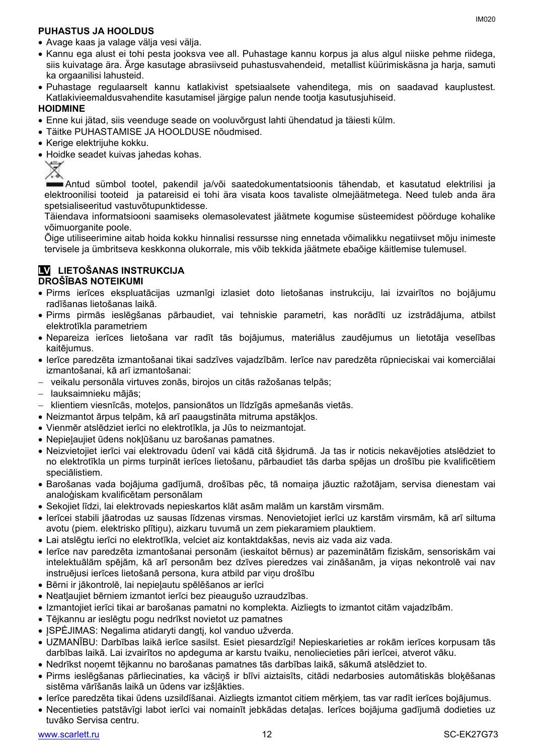#### **PUHASTUS JA HOOLDUS**

- Kannu ega alust ei tohi pesta jooksva vee all. Puhastage kannu korpus ja alus algul niiske pehme riidega, siis kuivatage ära. Ärge kasutage abrasiivseid puhastusvahendeid, metallist küürimiskäsna ja harja, samuti ka orgaanilisi lahusteid.
- Puhastage regulaarselt kannu katlakivist spetsiaalsete vahenditega, mis on saadavad kauplustest. Katlakivieemaldusvahendite kasutamisel järgige palun nende tootja kasutusjuhiseid.

#### **HOIDMINE**

- Enne kui jätad, siis veenduge seade on vooluvõrgust lahti ühendatud ja täiesti külm.
- Täitke PUHASTAMISE JA HOOLDUSE nõudmised.
- Kerige elektrijuhe kokku.
- Hoidke seadet kuivas jahedas kohas.

⅀

Antud sümbol tootel, pakendil ja/või saatedokumentatsioonis tähendab, et kasutatud elektrilisi ja elektroonilisi tooteid ja patareisid ei tohi ära visata koos tavaliste olmejäätmetega. Need tuleb anda ära spetsialiseeritud vastuvõtupunktidesse.

Täiendava informatsiooni saamiseks olemasolevatest jäätmete kogumise süsteemidest pöörduge kohalike võimuorganite poole.

Õige utiliseerimine aitab hoida kokku hinnalisi ressursse ning ennetada võimalikku negatiivset mõju inimeste tervisele ja ümbritseva keskkonna olukorrale, mis võib tekkida jäätmete ebaõige käitlemise tulemusel.

#### **LV LIETOŠANAS INSTRUKCIJA DROŠĪBAS NOTEIKUMI**

- Pirms ierīces ekspluatācijas uzmanīgi izlasiet doto lietošanas instrukciju, lai izvairītos no bojājumu radīšanas lietošanas laikā.
- Pirms pirmās ieslēgšanas pārbaudiet, vai tehniskie parametri, kas norādīti uz izstrādājuma, atbilst elektrotīkla parametriem
- Nepareiza ierīces lietošana var radīt tās bojājumus, materiālus zaudējumus un lietotāja veselības kaitējumus.
- Ierīce paredzēta izmantošanai tikai sadzīves vajadzībām. Ierīce nav paredzēta rūpnieciskai vai komerciālai izmantošanai, kā arī izmantošanai:
- veikalu personāla virtuves zonās, birojos un citās ražošanas telpās;
- lauksaimnieku mājās;
- $-$  klientiem viesnīcās, moteļos, pansionātos un līdzīgās apmešanās vietās.
- Neizmantot ārpus telpām, kā arī paaugstināta mitruma apstākļos.
- Vienmēr atslēdziet ierīci no elektrotīkla, ja Jūs to neizmantojat.
- Nepieļaujiet ūdens nokļūšanu uz barošanas pamatnes.
- Neizvietojiet ierīci vai elektrovadu ūdenī vai kādā citā šķidrumā. Ja tas ir noticis nekavējoties atslēdziet to no elektrotīkla un pirms turpināt ierīces lietošanu, pārbaudiet tās darba spējas un drošību pie kvalificētiem speciālistiem.
- Barošanas vada bojājuma gadījumā, drošības pēc, tā nomaiņa jāuztic ražotājam, servisa dienestam vai analoģiskam kvalificētam personālam
- Sekojiet līdzi, lai elektrovads nepieskartos klāt asām malām un karstām virsmām.
- Ierīcei stabili jāatrodas uz sausas līdzenas virsmas. Nenovietojiet ierīci uz karstām virsmām, kā arī siltuma avotu (piem. elektrisko plītiņu), aizkaru tuvumā un zem piekaramiem plauktiem.
- Lai atslēgtu ierīci no elektrotīkla, velciet aiz kontaktdakšas, nevis aiz vada aiz vada.
- Ierīce nav paredzēta izmantošanai personām (ieskaitot bērnus) ar pazeminātām fiziskām, sensoriskām vai intelektuālām spējām, kā arī personām bez dzīves pieredzes vai zināšanām, ja viņas nekontrolē vai nav instruējusi ierīces lietošanā persona, kura atbild par viņu drošību
- Bērni ir jākontrolē, lai nepieļautu spēlēšanos ar ierīci
- Neatļaujiet bērniem izmantot ierīci bez pieaugušo uzraudzības.
- Izmantojiet ierīci tikai ar barošanas pamatni no komplekta. Aizliegts to izmantot citām vajadzībām.
- Tējkannu ar ieslēgtu pogu nedrīkst novietot uz pamatnes
- JSPĖJIMAS: Negalima atidaryti dangtį, kol vanduo užverda.
- UZMANĪBU: Darbības laikā ierīce sasilst. Esiet piesardzīgi! Nepieskarieties ar rokām ierīces korpusam tās darbības laikā. Lai izvairītos no apdeguma ar karstu tvaiku, nenoliecieties pāri ierīcei, atverot vāku.
- Nedrīkst noņemt tējkannu no barošanas pamatnes tās darbības laikā, sākumā atslēdziet to.
- Pirms ieslēgšanas pārliecinaties, ka vāciņš ir blīvi aiztaisīts, citādi nedarbosies automātiskās bloķēšanas sistēma vārīšanās laikā un ūdens var izšļākties.
- Ierīce paredzēta tikai ūdens uzsildīšanai. Aizliegts izmantot citiem mērķiem, tas var radīt ierīces bojājumus.
- Necentieties patstāvīgi labot ierīci vai nomainīt jebkādas detaļas. Ierīces bojājuma gadījumā dodieties uz tuvāko Servisa centru.

IM020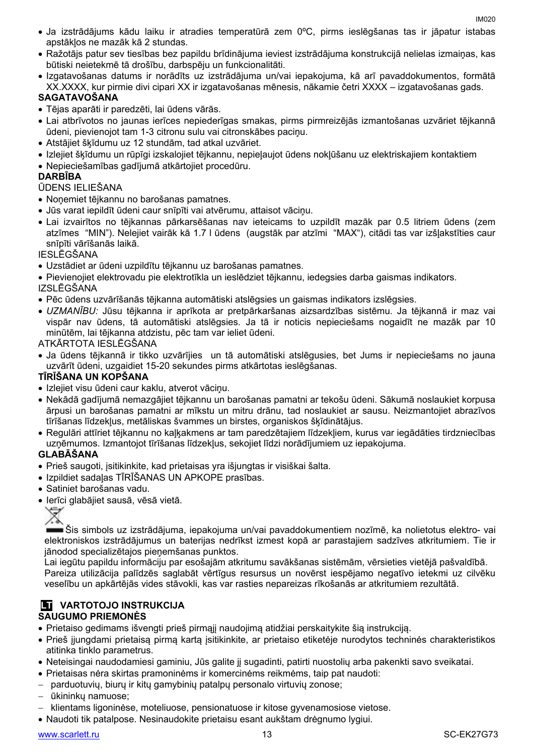- Ja izstrādājums kādu laiku ir atradies temperatūrā zem 0ºC, pirms ieslēgšanas tas ir jāpatur istabas apstākļos ne mazāk kā 2 stundas.
- Ražotājs patur sev tiesības bez papildu brīdinājuma ieviest izstrādājuma konstrukcijā nelielas izmaiņas, kas būtiski neietekmē tā drošību, darbspēju un funkcionalitāti.
- Izgatavošanas datums ir norādīts uz izstrādājuma un/vai iepakojuma, kā arī pavaddokumentos, formātā XX.XXXX, kur pirmie divi cipari XX ir izgatavošanas mēnesis, nākamie četri XXXX – izgatavošanas gads.

### **SAGATAVOŠANA**

- Tējas aparāti ir paredzēti, lai ūdens vārās.
- Lai atbrīvotos no jaunas ierīces nepiederīgas smakas, pirms pirmreizējās izmantošanas uzvāriet tējkannā ūdeni, pievienojot tam 1-3 citronu sulu vai citronskābes paciņu.
- Atstājiet šķīdumu uz 12 stundām, tad atkal uzvāriet.
- Izlejiet šķīdumu un rūpīgi izskalojiet tējkannu, nepieļaujot ūdens nokļūšanu uz elektriskajiem kontaktiem
- Nepieciešamības gadījumā atkārtojiet procedūru.

#### **DARBĪBA**

#### ŪDENS IELIEŠANA

- Noņemiet tējkannu no barošanas pamatnes.
- Jūs varat iepildīt ūdeni caur snīpīti vai atvērumu, attaisot vāciņu.
- Lai izvairītos no tējkannas pārkarsēšanas nav ieteicams to uzpildīt mazāk par 0.5 litriem ūdens (zem atzīmes "MIN"). Nelejiet vairāk kā 1.7 l ūdens (augstāk par atzīmi "MAX"), citādi tas var izšļakstīties caur snīpīti vārīšanās laikā.

#### IESLĒGŠANA

- Uzstādiet ar ūdeni uzpildītu tējkannu uz barošanas pamatnes.
- Pievienojiet elektrovadu pie elektrotīkla un ieslēdziet tējkannu, iedegsies darba gaismas indikators. IZSLĒGŠANA
- Pēc ūdens uzvārīšanās tējkanna automātiski atslēgsies un gaismas indikators izslēgsies.
- *UZMANĪBU:* Jūsu tējkanna ir aprīkota ar pretpārkaršanas aizsardzības sistēmu. Ja tējkannā ir maz vai vispār nav ūdens, tā automātiski atslēgsies. Ja tā ir noticis nepieciešams nogaidīt ne mazāk par 10 minūtēm, lai tējkanna atdzistu, pēc tam var ieliet ūdeni.

#### ATKĀRTOTA IESLĒGŠANA

 Ja ūdens tējkannā ir tikko uzvārījies un tā automātiski atslēgusies, bet Jums ir nepieciešams no jauna uzvārīt ūdeni, uzgaidiet 15-20 sekundes pirms atkārtotas ieslēgšanas.

#### **TĪRĪŠANA UN KOPŠANA**

- Izlejiet visu ūdeni caur kaklu, atverot vācinu.
- Nekādā gadījumā nemazgājiet tējkannu un barošanas pamatni ar tekošu ūdeni. Sākumā noslaukiet korpusa ārpusi un barošanas pamatni ar mīkstu un mitru drānu, tad noslaukiet ar sausu. Neizmantojiet abrazīvos tīrīšanas līdzekļus, metāliskas švammes un birstes, organiskos šķīdinātājus.
- Regulāri attīriet tējkannu no kaļķakmens ar tam paredzētajiem līdzekļiem, kurus var iegādāties tirdzniecības uzņēmumos. Izmantojot tīrīšanas līdzekļus, sekojiet līdzi norādījumiem uz iepakojuma.

#### **GLABĀŠANA**

- Prieš saugoti, įsitikinkite, kad prietaisas yra išjungtas ir visiškai šalta.
- Izpildiet sadaļas TĪRĪŠANAS UN APKOPE prasības.
- Satiniet barošanas vadu.
- Ierīci glabājiet sausā, vēsā vietā.

Šis simbols uz izstrādājuma, iepakojuma un/vai pavaddokumentiem nozīmē, ka nolietotus elektro- vai elektroniskos izstrādājumus un baterijas nedrīkst izmest kopā ar parastajiem sadzīves atkritumiem. Tie ir jānodod specializētajos pieņemšanas punktos.

Lai iegūtu papildu informāciju par esošajām atkritumu savākšanas sistēmām, vērsieties vietējā pašvaldībā. Pareiza utilizācija palīdzēs saglabāt vērtīgus resursus un novērst iespējamo negatīvo ietekmi uz cilvēku veselību un apkārtējās vides stāvokli, kas var rasties nepareizas rīkošanās ar atkritumiem rezultātā.

# **LT VARTOTOJO INSTRUKCIJA**

### **SAUGUMO PRIEMONĖS**

- Prietaiso gedimams išvengti prieš pirmąjį naudojimą atidžiai perskaitykite šią instrukciją.
- Prieš įjungdami prietaisą pirmą kartą įsitikinkite, ar prietaiso etiketėje nurodytos techninės charakteristikos atitinka tinklo parametrus.
- Neteisingai naudodamiesi gaminiu, Jūs galite jį sugadinti, patirti nuostolių arba pakenkti savo sveikatai.
- Prietaisas nėra skirtas pramoninėms ir komercinėms reikmėms, taip pat naudoti:
- parduotuvių, biurų ir kitų gamybinių patalpų personalo virtuvių zonose;
- ūkininkų namuose;
- klientams ligoninėse, moteliuose, pensionatuose ir kitose gyvenamosiose vietose.
- Naudoti tik patalpose. Nesinaudokite prietaisu esant aukštam drėgnumo lygiui.

[www.scarlett.ru](http://www.scarlett.ru/) 13 SC-EK27G73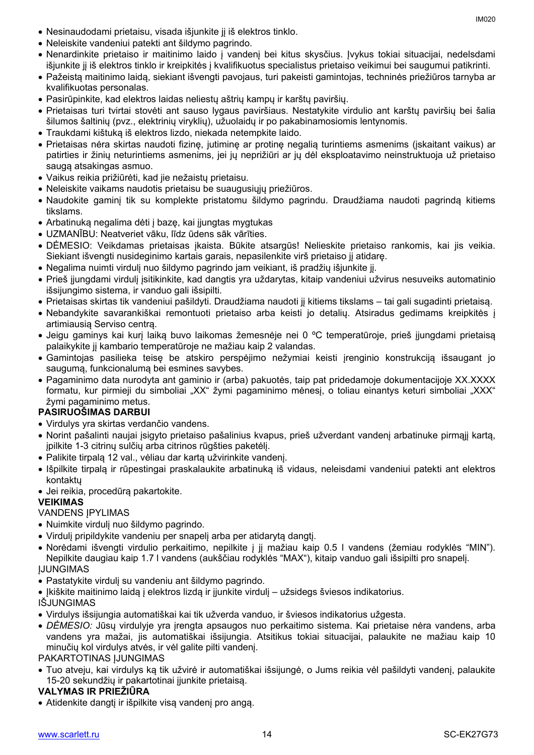- Nesinaudodami prietaisu, visada išjunkite jį iš elektros tinklo.
- Neleiskite vandeniui patekti ant šildymo pagrindo.
- Nenardinkite prietaiso ir maitinimo laido į vandenį bei kitus skysčius. Įvykus tokiai situacijai, nedelsdami išjunkite jį iš elektros tinklo ir kreipkitės į kvalifikuotus specialistus prietaiso veikimui bei saugumui patikrinti.
- Pažeistą maitinimo laidą, siekiant išvengti pavojaus, turi pakeisti gamintojas, techninės priežiūros tarnyba ar kvalifikuotas personalas.
- Pasirūpinkite, kad elektros laidas neliestų aštrių kampų ir karštų paviršių.
- Prietaisas turi tvirtai stovėti ant sauso lygaus paviršiaus. Nestatykite virdulio ant karštų paviršių bei šalia šilumos šaltinių (pvz., elektrinių viryklių), užuolaidų ir po pakabinamosiomis lentynomis.
- Traukdami kištuką iš elektros lizdo, niekada netempkite laido.
- Prietaisas nėra skirtas naudoti fizinę, jutiminę ar protinę negalią turintiems asmenims (įskaitant vaikus) ar patirties ir žinių neturintiems asmenims, jei jų neprižiūri ar jų dėl eksploatavimo neinstruktuoja už prietaiso saugą atsakingas asmuo.
- Vaikus reikia prižiūrėti, kad jie nežaistų prietaisu.
- Neleiskite vaikams naudotis prietaisu be suaugusiųjų priežiūros.
- Naudokite gaminį tik su komplekte pristatomu šildymo pagrindu. Draudžiama naudoti pagrindą kitiems tikslams.
- Arbatinuką negalima dėti į bazę, kai įjungtas mygtukas
- UZMANĪBU: Neatveriet vāku, līdz ūdens sāk vārīties.
- DĖMESIO: Veikdamas prietaisas įkaista. Būkite atsargūs! Nelieskite prietaiso rankomis, kai jis veikia. Siekiant išvengti nusideginimo kartais garais, nepasilenkite virš prietaiso jį atidarę.
- Negalima nuimti virdulį nuo šildymo pagrindo jam veikiant, iš pradžių išjunkite jį.
- Prieš įjungdami virdulį įsitikinkite, kad dangtis yra uždarytas, kitaip vandeniui užvirus nesuveiks automatinio išsijungimo sistema, ir vanduo gali išsipilti.
- Prietaisas skirtas tik vandeniui pašildyti. Draudžiama naudoti jį kitiems tikslams tai gali sugadinti prietaisą.
- Nebandykite savarankiškai remontuoti prietaiso arba keisti jo detalių. Atsiradus gedimams kreipkitės į artimiausią Serviso centrą.
- Jeigu gaminys kai kurį laiką buvo laikomas žemesnėje nei 0 ºC temperatūroje, prieš įjungdami prietaisą palaikykite jį kambario temperatūroje ne mažiau kaip 2 valandas.
- Gamintojas pasilieka teisę be atskiro perspėjimo nežymiai keisti įrenginio konstrukciją išsaugant jo saugumą, funkcionalumą bei esmines savybes.
- Pagaminimo data nurodyta ant gaminio ir (arba) pakuotės, taip pat pridedamoje dokumentacijoje XX.XXXX formatu, kur pirmieji du simboliai "XX" žymi pagaminimo mėnesį, o toliau einantys keturi simboliai "XXX" žymi pagaminimo metus.

#### **PASIRUOŠIMAS DARBUI**

- Virdulys yra skirtas verdančio vandens.
- Norint pašalinti naujai įsigyto prietaiso pašalinius kvapus, prieš užverdant vandenį arbatinuke pirmąjį kartą, įpilkite 1-3 citrinų sulčių arba citrinos rūgšties paketėlį.
- Palikite tirpalą 12 val., vėliau dar kartą užvirinkite vandenį.
- Išpilkite tirpalą ir rūpestingai praskalaukite arbatinuką iš vidaus, neleisdami vandeniui patekti ant elektros kontaktų
- Jei reikia, procedūrą pakartokite.

#### **VEIKIMAS**

#### VANDENS ĮPYLIMAS

- Nuimkite virdulį nuo šildymo pagrindo.
- Virdulį pripildykite vandeniu per snapelį arba per atidarytą dangtį.
- Norėdami išvengti virdulio perkaitimo, nepilkite į jį mažiau kaip 0.5 l vandens (žemiau rodyklės "MIN"). Nepilkite daugiau kaip 1.7 l vandens (aukščiau rodyklės "MAX"), kitaip vanduo gali išsipilti pro snapelį. ĮJUNGIMAS
- Pastatykite virdulį su vandeniu ant šildymo pagrindo.
- Įkiškite maitinimo laidą į elektros lizdą ir įjunkite virdulį užsidegs šviesos indikatorius. IŠJUNGIMAS
- Virdulys išsijungia automatiškai kai tik užverda vanduo, ir šviesos indikatorius užgesta.
- *DĖMESIO:* Jūsų virdulyje yra įrengta apsaugos nuo perkaitimo sistema. Kai prietaise nėra vandens, arba vandens yra mažai, jis automatiškai išsijungia. Atsitikus tokiai situacijai, palaukite ne mažiau kaip 10 minučių kol virdulys atvės, ir vėl galite pilti vandenį.

PAKARTOTINAS ĮJUNGIMAS

 Tuo atveju, kai virdulys ką tik užvirė ir automatiškai išsijungė, o Jums reikia vėl pašildyti vandenį, palaukite 15-20 sekundžių ir pakartotinai įjunkite prietaisą.

#### **VALYMAS IR PRIEŽIŪRA**

Atidenkite dangtį ir išpilkite visą vandenį pro angą.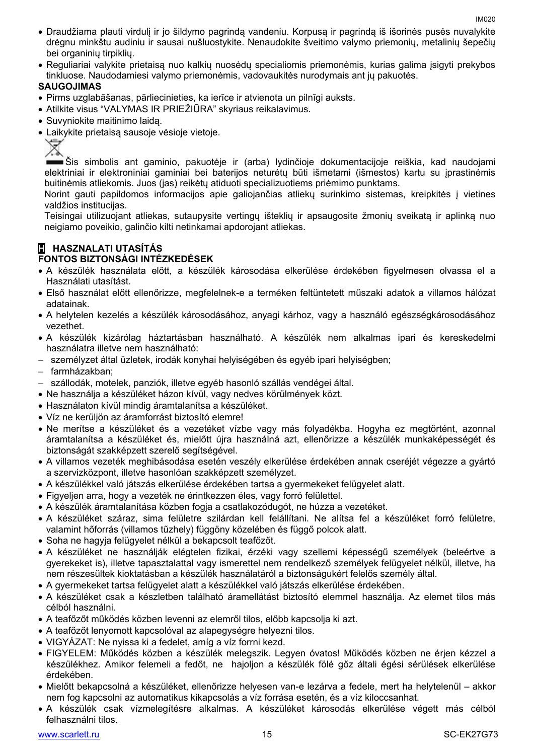- Draudžiama plauti virdulį ir jo šildymo pagrindą vandeniu. Korpusą ir pagrindą iš išorinės pusės nuvalykite drėgnu minkštu audiniu ir sausai nušluostykite. Nenaudokite šveitimo valymo priemonių, metalinių šepečių bei organinių tirpiklių.
- Reguliariai valykite prietaisą nuo kalkių nuosėdų specialiomis priemonėmis, kurias galima įsigyti prekybos tinkluose. Naudodamiesi valymo priemonėmis, vadovaukitės nurodymais ant jų pakuotės.

#### **SAUGOJIMAS**

- Pirms uzglabāšanas, pārliecinieties, ka ierīce ir atvienota un pilnīgi auksts.
- Atilkite visus "VALYMAS IR PRIEŽIŪRA" skyriaus reikalavimus.
- Suvyniokite maitinimo laidą.
- Laikykite prietaisą sausoje vėsioje vietoje.



Šis simbolis ant gaminio, pakuotėje ir (arba) lydinčioje dokumentacijoje reiškia, kad naudojami elektriniai ir elektroniniai gaminiai bei baterijos neturėtų būti išmetami (išmestos) kartu su įprastinėmis buitinėmis atliekomis. Juos (jas) reikėtų atiduoti specializuotiems priėmimo punktams.

Norint gauti papildomos informacijos apie galiojančias atliekų surinkimo sistemas, kreipkitės į vietines valdžios institucijas.

Teisingai utilizuojant atliekas, sutaupysite vertingų išteklių ir apsaugosite žmonių sveikatą ir aplinką nuo neigiamo poveikio, galinčio kilti netinkamai apdorojant atliekas.

#### **H HASZNALATI UTASÍTÁS FONTOS BIZTONSÁGI INTÉZKEDÉSEK**

- A készülék használata előtt, a készülék károsodása elkerülése érdekében figyelmesen olvassa el a Használati utasítást.
- Első használat előtt ellenőrizze, megfelelnek-e a terméken feltüntetett műszaki adatok a villamos hálózat adatainak.
- A helytelen kezelés a készülék károsodásához, anyagi kárhoz, vagy a használó egészségkárosodásához vezethet.
- A készülék kizárólag háztartásban használható. A készülék nem alkalmas ipari és kereskedelmi használatra illetve nem használható:
- személyzet által üzletek, irodák konyhai helyiségében és egyéb ipari helyiségben;
- farmházakban;
- szállodák, motelek, panziók, illetve egyéb hasonló szállás vendégei által.
- Ne használja a készüléket házon kívül, vagy nedves körülmények közt.
- Használaton kívül mindig áramtalanítsa a készüléket.
- Víz ne kerüljön az áramforrást biztosító elemre!
- Ne merítse a készüléket és a vezetéket vízbe vagy más folyadékba. Hogyha ez megtörtént, azonnal áramtalanítsa a készüléket és, mielőtt újra használná azt, ellenőrizze a készülék munkaképességét és biztonságát szakképzett szerelő segítségével.
- A villamos vezeték meghibásodása esetén veszély elkerülése érdekében annak cseréjét végezze a gyártó a szervizközpont, illetve hasonlóan szakképzett személyzet.
- A készülékkel való játszás elkerülése érdekében tartsa a gyermekeket felügyelet alatt.
- Figyeljen arra, hogy a vezeték ne érintkezzen éles, vagy forró felülettel.
- A készülék áramtalanítása közben fogja a csatlakozódugót, ne húzza a vezetéket.
- A készüléket száraz, sima felületre szilárdan kell felállítani. Ne alítsa fel a készüléket forró felületre, valamint hőforrás (villamos tűzhely) függöny közelében és függő polcok alatt.
- Soha ne hagyja felügyelet nélkül a bekapcsolt teafőzőt.
- A készüléket ne használják elégtelen fizikai, érzéki vagy szellemi képességű személyek (beleértve a gyerekeket is), illetve tapasztalattal vagy ismerettel nem rendelkező személyek felügyelet nélkül, illetve, ha nem részesültek kioktatásban a készülék használatáról a biztonságukért felelős személy által.
- A gyermekeket tartsa felügyelet alatt a készülékkel való játszás elkerülése érdekében.
- A készüléket csak a készletben található áramellátást biztosító elemmel használja. Az elemet tilos más célból használni.
- A teafőzőt működés közben levenni az elemről tilos, előbb kapcsolja ki azt.
- A teafőzőt lenyomott kapcsolóval az alapegységre helyezni tilos.
- VIGYÁZAT: Ne nyissa ki a fedelet, amíg a víz forrni kezd.
- FIGYELEM: Működés közben a készülék melegszik. Legyen óvatos! Működés közben ne érjen kézzel a készülékhez. Amikor felemeli a fedőt, ne hajoljon a készülék fölé gőz általi égési sérülések elkerülése érdekében.
- Mielőtt bekapcsolná a készüléket, ellenőrizze helyesen van-e lezárva a fedele, mert ha helytelenül akkor nem fog kapcsolni az automatikus kikapcsolás a víz forrása esetén, és a víz kiloccsanhat.
- A készülék csak vízmelegítésre alkalmas. A készüléket károsodás elkerülése végett más célból felhasználni tilos.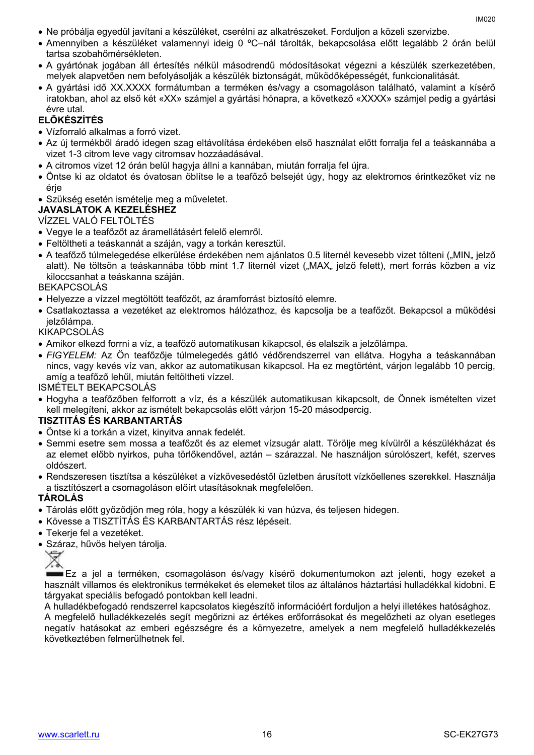- Ne próbálja egyedül javítani a készüléket, cserélni az alkatrészeket. Forduljon a közeli szervizbe.
- Amennyiben a készüléket valamennyi ideig 0 ºC–nál tárolták, bekapcsolása előtt legalább 2 órán belül tartsa szobahőmérsékleten.
- A gyártónak jogában áll értesítés nélkül másodrendű módosításokat végezni a készülék szerkezetében, melyek alapvetően nem befolyásolják a készülék biztonságát, működőképességét, funkcionalitását.
- A gyártási idő XX.XXXX formátumban a terméken és/vagy a csomagoláson található, valamint a kísérő iratokban, ahol az első két «XX» számjel a gyártási hónapra, a következő «XXXX» számjel pedig a gyártási évre utal.

#### **ELŐKÉSZÍTÉS**

- Vízforraló alkalmas a forró vizet.
- Az új termékből áradó idegen szag eltávolítása érdekében első használat előtt forralja fel a teáskannába a vizet 1-3 citrom leve vagy citromsav hozzáadásával.
- A citromos vizet 12 órán belül hagyja állni a kannában, miután forralja fel újra.
- Öntse ki az oldatot és óvatosan öblítse le a teafőző belsejét úgy, hogy az elektromos érintkezőket víz ne érje
- Szükség esetén ismételje meg a műveletet.

#### **JAVASLATOK A KEZELÉSHEZ**

VÍZZEL VALÓ FELTÖLTÉS

- Vegye le a teafőzőt az áramellátásért felelő elemről.
- Feltöltheti a teáskannát a száján, vagy a torkán keresztül.
- A teafőző túlmelegedése elkerülése érdekében nem ajánlatos 0.5 liternél kevesebb vizet tölteni ("MIN" jelző alatt). Ne töltsön a teáskannába több mint 1.7 liternél vizet ("MAX" jelző felett), mert forrás közben a víz kiloccsanhat a teáskanna száján.

#### BEKAPCSOLÁS

- Helyezze a vízzel megtöltött teafőzőt, az áramforrást biztosító elemre.
- Csatlakoztassa a vezetéket az elektromos hálózathoz, és kapcsolja be a teafőzőt. Bekapcsol a működési jelzőlámpa.

#### KIKAPCSOLÁS

- Amikor elkezd forrni a víz, a teafőző automatikusan kikapcsol, és elalszik a jelzőlámpa.
- *FIGYELEM:* Az Ön teafőzője túlmelegedés gátló védőrendszerrel van ellátva. Hogyha a teáskannában nincs, vagy kevés víz van, akkor az automatikusan kikapcsol. Ha ez megtörtént, várjon legalább 10 percig, amíg a teafőző lehűl, miután feltöltheti vízzel.

ISMÉTELT BEKAPCSOLÁS

 Hogyha a teafőzőben felforrott a víz, és a készülék automatikusan kikapcsolt, de Önnek ismételten vizet kell melegíteni, akkor az ismételt bekapcsolás előtt várjon 15-20 másodpercig.

#### **TISZTITÁS ÉS KARBANTARTÁS**

- Öntse ki a torkán a vizet, kinyitva annak fedelét.
- Semmi esetre sem mossa a teafőzőt és az elemet vízsugár alatt. Törölje meg kívülről a készülékházat és az elemet előbb nyirkos, puha törlőkendővel, aztán – szárazzal. Ne használjon súrolószert, kefét, szerves oldószert.
- Rendszeresen tisztítsa a készüléket a vízkövesedéstől üzletben árusított vízkőellenes szerekkel. Használja a tisztítószert a csomagoláson előírt utasításoknak megfelelően.

#### **TÁROLÁS**

- Tárolás előtt győződjön meg róla, hogy a készülék ki van húzva, és teljesen hidegen.
- Kövesse a TISZTÍTÁS ÉS KARBANTARTÁS rész lépéseit.
- Tekerje fel a vezetéket.
- Száraz, hűvös helyen tárolia.



Ez a jel a terméken, csomagoláson és/vagy kísérő dokumentumokon azt jelenti, hogy ezeket a használt villamos és elektronikus termékeket és elemeket tilos az általános háztartási hulladékkal kidobni. E tárgyakat speciális befogadó pontokban kell leadni.

A hulladékbefogadó rendszerrel kapcsolatos kiegészítő információért forduljon a helyi illetékes hatósághoz.

A megfelelő hulladékkezelés segít megőrizni az értékes erőforrásokat és megelőzheti az olyan esetleges negatív hatásokat az emberi egészségre és a környezetre, amelyek a nem megfelelő hulladékkezelés következtében felmerülhetnek fel.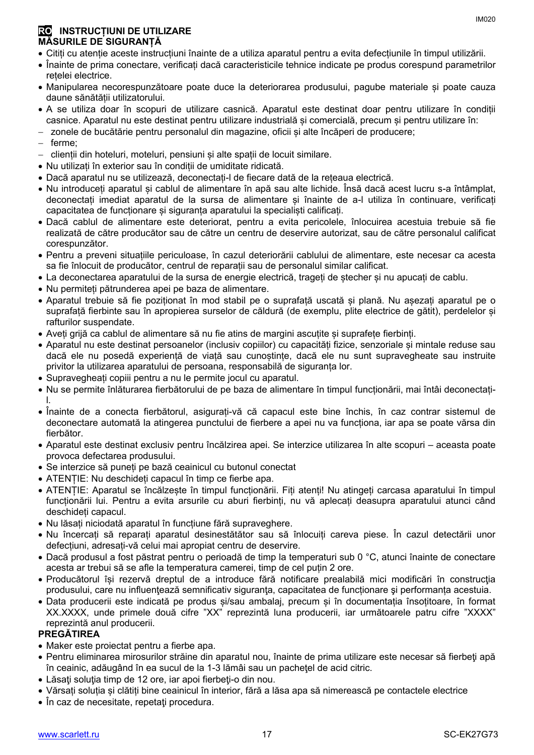- Citiți cu atenție aceste instrucțiuni înainte de a utiliza aparatul pentru a evita defecțiunile în timpul utilizării.
- Înainte de prima conectare, verificați dacă caracteristicile tehnice indicate pe produs corespund parametrilor rețelei electrice.
- Manipularea necorespunzătoare poate duce la deteriorarea produsului, pagube materiale și poate cauza daune sănătății utilizatorului.
- A se utiliza doar în scopuri de utilizare casnică. Aparatul este destinat doar pentru utilizare în condiții casnice. Aparatul nu este destinat pentru utilizare industrială și comercială, precum și pentru utilizare în:
- zonele de bucătărie pentru personalul din magazine, oficii și alte încăperi de producere;
- ferme;
- clienții din hoteluri, moteluri, pensiuni și alte spații de locuit similare.
- Nu utilizați în exterior sau în condiții de umiditate ridicată.
- Dacă aparatul nu se utilizează, deconectați-l de fiecare dată de la rețeaua electrică.
- Nu introduceți aparatul și cablul de alimentare în apă sau alte lichide. Însă dacă acest lucru s-a întâmplat, deconectați imediat aparatul de la sursa de alimentare și înainte de a-l utiliza în continuare, verificați capacitatea de funcționare și siguranța aparatului la specialiști calificați.
- Dacă cablul de alimentare este deteriorat, pentru a evita pericolele, înlocuirea acestuia trebuie să fie realizată de către producător sau de către un centru de deservire autorizat, sau de către personalul calificat corespunzător.
- Pentru a preveni situațiile periculoase, în cazul deteriorării cablului de alimentare, este necesar ca acesta sa fie înlocuit de producător, centrul de reparații sau de personalul similar calificat.
- La deconectarea aparatului de la sursa de energie electrică, trageți de ștecher și nu apucați de cablu.
- Nu permiteți pătrunderea apei pe baza de alimentare.
- Aparatul trebuie să fie poziționat în mod stabil pe o suprafață uscată și plană. Nu așezați aparatul pe o suprafață fierbinte sau în apropierea surselor de căldură (de exemplu, plite electrice de gătit), perdelelor și rafturilor suspendate.
- Aveți grijă ca cablul de alimentare să nu fie atins de margini ascuțite și suprafețe fierbinți.
- Aparatul nu este destinat persoanelor (inclusiv copiilor) cu capacități fizice, senzoriale și mintale reduse sau dacă ele nu posedă experiență de viață sau cunoștințe, dacă ele nu sunt supravegheate sau instruite privitor la utilizarea aparatului de persoana, responsabilă de siguranța lor.
- Supravegheați copiii pentru a nu le permite jocul cu aparatul.
- Nu se permite înlăturarea fierbătorului de pe baza de alimentare în timpul funcționării, mai întâi deconectațil.
- Înainte de a conecta fierbătorul, asigurați-vă că capacul este bine închis, în caz contrar sistemul de deconectare automată la atingerea punctului de fierbere a apei nu va funcționa, iar apa se poate vărsa din fierbător.
- Aparatul este destinat exclusiv pentru încălzirea apei. Se interzice utilizarea în alte scopuri aceasta poate provoca defectarea produsului.
- Se interzice să puneți pe bază ceainicul cu butonul conectat
- ATENȚIE: Nu deschideți capacul în timp ce fierbe apa.
- ATENȚIE: Aparatul se încălzește în timpul funcționării. Fiți atenți! Nu atingeți carcasa aparatului în timpul funcționării lui. Pentru a evita arsurile cu aburi fierbinți, nu vă aplecați deasupra aparatului atunci când deschideți capacul.
- Nu lăsați niciodată aparatul în funcțiune fără supraveghere.
- Nu încercați să reparați aparatul desinestătător sau să înlocuiți careva piese. În cazul detectării unor defecțiuni, adresați-vă celui mai apropiat centru de deservire.
- Dacă produsul a fost păstrat pentru o perioadă de timp la temperaturi sub 0 °C, atunci înainte de conectare acesta ar trebui să se afle la temperatura camerei, timp de cel puțin 2 ore.
- Producătorul își rezervă dreptul de a introduce fără notificare prealabilă mici modificări în construcţia produsului, care nu influenţează semnificativ siguranţa, capacitatea de funcționare şi performanța acestuia.
- Data producerii este indicată pe produs și/sau ambalaj, precum și în documentația însoțitoare, în format XX.XXXX, unde primele două cifre "XX" reprezintă luna producerii, iar următoarele patru cifre "XXXX" reprezintă anul producerii.

#### **PREGĂTIREA**

- Maker este proiectat pentru a fierbe apa.
- Pentru eliminarea mirosurilor străine din aparatul nou, înainte de prima utilizare este necesar să fierbeti apă în ceainic, adăugând în ea sucul de la 1-3 lămâi sau un pacheţel de acid citric.
- Lăsati solutia timp de 12 ore, iar apoi fierbeti-o din nou.
- Vărsați soluția și clătiți bine ceainicul în interior, fără a lăsa apa să nimerească pe contactele electrice
- În caz de necesitate, repetati procedura.

IM020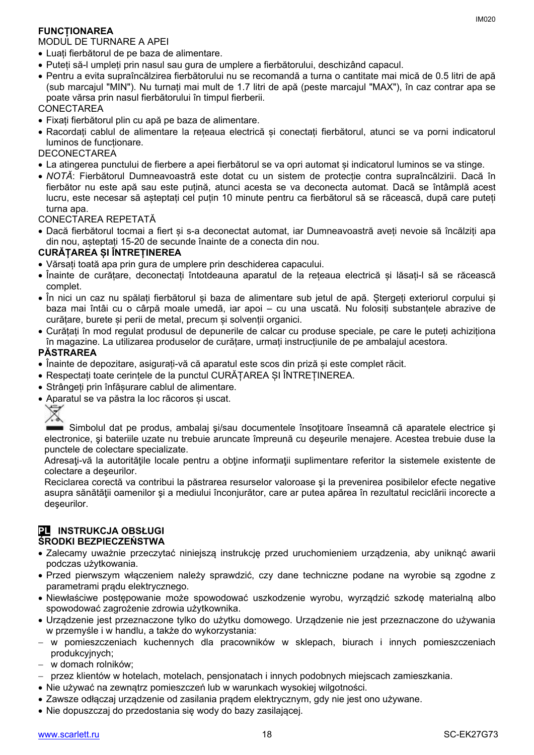#### **FUNCȚIONAREA**

#### MODUL DE TURNARE A APEI

- Luați fierbătorul de pe baza de alimentare.
- Puteți să-l umpleți prin nasul sau gura de umplere a fierbătorului, deschizând capacul.
- Pentru a evita supraîncălzirea fierbătorului nu se recomandă a turna o cantitate mai mică de 0.5 litri de apă (sub marcajul "MIN"). Nu turnați mai mult de 1.7 litri de apă (peste marcajul "MAX"), în caz contrar apa se poate vărsa prin nasul fierbătorului în timpul fierberii.

#### CONECTAREA

- Fixați fierbătorul plin cu apă pe baza de alimentare.
- Racordați cablul de alimentare la rețeaua electrică și conectați fierbătorul, atunci se va porni indicatorul luminos de funcționare.

DECONECTAREA

- La atingerea punctului de fierbere a apei fierbătorul se va opri automat și indicatorul luminos se va stinge.
- *NOTĂ*: Fierbătorul Dumneavoastră este dotat cu un sistem de protecție contra supraîncălzirii. Dacă în fierbător nu este apă sau este puțină, atunci acesta se va deconecta automat. Dacă se întâmplă acest lucru, este necesar să așteptați cel puțin 10 minute pentru ca fierbătorul să se răcească, după care puteți turna apa.

CONECTAREA REPETATĂ

 Dacă fierbătorul tocmai a fiert și s-a deconectat automat, iar Dumneavoastră aveți nevoie să încălziți apa din nou, așteptați 15-20 de secunde înainte de a conecta din nou.

#### **CURĂȚAREA ȘI ÎNTREȚINEREA**

- Vărsați toată apa prin gura de umplere prin deschiderea capacului.
- Înainte de curățare, deconectați întotdeauna aparatul de la rețeaua electrică și lăsați-l să se răcească complet.
- În nici un caz nu spălați fierbătorul și baza de alimentare sub jetul de apă. Ștergeți exteriorul corpului și baza mai întâi cu o cârpă moale umedă, iar apoi – cu una uscată. Nu folosiți substanțele abrazive de curătare, burete și perii de metal, precum și solvenții organici.
- Curățați în mod regulat produsul de depunerile de calcar cu produse speciale, pe care le puteți achiziționa în magazine. La utilizarea produselor de curățare, urmați instrucțiunile de pe ambalajul acestora.

#### **PĂSTRAREA**

- Înainte de depozitare, asigurați-vă că aparatul este scos din priză și este complet răcit.
- Respectați toate cerințele de la punctul CURĂȚAREA ȘI ÎNTREȚINEREA.
- Strângeți prin înfășurare cablul de alimentare.
- Aparatul se va păstra la loc răcoros și uscat.



Simbolul dat pe produs, ambalaj și/sau documentele însoțitoare înseamnă că aparatele electrice și electronice, şi bateriile uzate nu trebuie aruncate împreună cu deşeurile menajere. Acestea trebuie duse la punctele de colectare specializate.

Adresați-vă la autoritățile locale pentru a obține informații suplimentare referitor la sistemele existente de colectare a deşeurilor.

Reciclarea corectă va contribui la păstrarea resurselor valoroase şi la prevenirea posibilelor efecte negative asupra sănătăţii oamenilor şi a mediului înconjurător, care ar putea apărea în rezultatul reciclării incorecte a deşeurilor.

#### **PL INSTRUKCJA OBSŁUGI ŚRODKI BEZPIECZEŃSTWA**

- Zalecamy uważnie przeczytać niniejszą instrukcję przed uruchomieniem urządzenia, aby uniknąć awarii podczas użytkowania.
- Przed pierwszym włączeniem należy sprawdzić, czy dane techniczne podane na wyrobie są zgodne z parametrami prądu elektrycznego.
- Niewłaściwe postępowanie może spowodować uszkodzenie wyrobu, wyrządzić szkodę materialną albo spowodować zagrożenie zdrowia użytkownika.
- Urządzenie jest przeznaczone tylko do użytku domowego. Urządzenie nie jest przeznaczone do używania w przemyśle i w handlu, a także do wykorzystania:
- w pomieszczeniach kuchennych dla pracowników w sklepach, biurach i innych pomieszczeniach produkcyjnych;
- w domach rolników;
- przez klientów w hotelach, motelach, pensjonatach i innych podobnych miejscach zamieszkania.
- Nie używać na zewnątrz pomieszczeń lub w warunkach wysokiej wilgotności.
- Zawsze odłączaj urządzenie od zasilania prądem elektrycznym, gdy nie jest ono używane.
- Nie dopuszczaj do przedostania się wody do bazy zasilającej.

IM020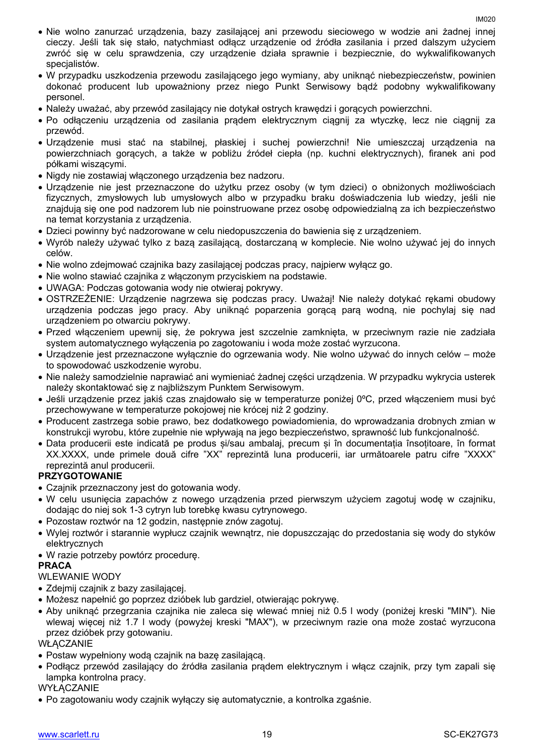- Nie wolno zanurzać urządzenia, bazy zasilającej ani przewodu sieciowego w wodzie ani żadnej innej cieczy. Jeśli tak się stało, natychmiast odłącz urządzenie od źródła zasilania i przed dalszym użyciem zwróć się w celu sprawdzenia, czy urządzenie działa sprawnie i bezpiecznie, do wykwalifikowanych specjalistów.
- W przypadku uszkodzenia przewodu zasilającego jego wymiany, aby uniknąć niebezpieczeństw, powinien dokonać producent lub upoważniony przez niego Punkt Serwisowy bądź podobny wykwalifikowany personel.
- Należy uważać, aby przewód zasilający nie dotykał ostrych krawędzi i gorących powierzchni.
- Po odłączeniu urządzenia od zasilania prądem elektrycznym ciągnij za wtyczkę, lecz nie ciągnij za przewód.
- Urządzenie musi stać na stabilnej, płaskiej i suchej powierzchni! Nie umieszczaj urządzenia na powierzchniach gorących, a także w pobliżu źródeł ciepła (np. kuchni elektrycznych), firanek ani pod półkami wiszącymi.
- Nigdy nie zostawiaj włączonego urządzenia bez nadzoru.
- Urządzenie nie jest przeznaczone do użytku przez osoby (w tym dzieci) o obniżonych możliwościach fizycznych, zmysłowych lub umysłowych albo w przypadku braku doświadczenia lub wiedzy, jeśli nie znajdują się one pod nadzorem lub nie poinstruowane przez osobę odpowiedzialną za ich bezpieczeństwo na temat korzystania z urządzenia.
- Dzieci powinny być nadzorowane w celu niedopuszczenia do bawienia się z urządzeniem.
- Wyrób należy używać tylko z bazą zasilającą, dostarczaną w komplecie. Nie wolno używać jej do innych celów.
- Nie wolno zdejmować czajnika bazy zasilającej podczas pracy, najpierw wyłącz go.
- Nie wolno stawiać czajnika z włączonym przyciskiem na podstawie.
- UWAGA: Podczas gotowania wody nie otwieraj pokrywy.
- OSTRZEŻENIE: Urządzenie nagrzewa się podczas pracy. Uważaj! Nie należy dotykać rękami obudowy urządzenia podczas jego pracy. Aby uniknąć poparzenia gorącą parą wodną, nie pochylaj się nad urządzeniem po otwarciu pokrywy.
- Przed włączeniem upewnij się, że pokrywa jest szczelnie zamknięta, w przeciwnym razie nie zadziała system automatycznego wyłączenia po zagotowaniu i woda może zostać wyrzucona.
- Urządzenie jest przeznaczone wyłącznie do ogrzewania wody. Nie wolno używać do innych celów może to spowodować uszkodzenie wyrobu.
- Nie należy samodzielnie naprawiać ani wymieniać żadnej części urządzenia. W przypadku wykrycia usterek należy skontaktować się z najbliższym Punktem Serwisowym.
- Jeśli urządzenie przez jakiś czas znajdowało się w temperaturze poniżej 0ºC, przed włączeniem musi być przechowywane w temperaturze pokojowej nie krócej niż 2 godziny.
- Producent zastrzega sobie prawo, bez dodatkowego powiadomienia, do wprowadzania drobnych zmian w konstrukcji wyrobu, które zupełnie nie wpływają na jego bezpieczeństwo, sprawność lub funkcjonalność.
- Data producerii este indicată pe produs și/sau ambalaj, precum și în documentația însoțitoare, în format XX.XXXX, unde primele două cifre "XX" reprezintă luna producerii, iar următoarele patru cifre "XXXX" reprezintă anul producerii.

#### **PRZYGOTOWANIE**

- Czajnik przeznaczony jest do gotowania wody.
- W celu usunięcia zapachów z nowego urządzenia przed pierwszym użyciem zagotuj wodę w czajniku, dodając do niej sok 1-3 cytryn lub torebkę kwasu cytrynowego.
- Pozostaw roztwór na 12 godzin, następnie znów zagotuj.
- Wylej roztwór i starannie wypłucz czajnik wewnątrz, nie dopuszczając do przedostania się wody do styków elektrycznych
- W razie potrzeby powtórz procedurę.

### **PRACA**

### WLEWANIE WODY

- Zdejmij czajnik z bazy zasilającej.
- Możesz napełnić go poprzez dzióbek lub gardziel, otwierając pokrywę.
- Aby uniknąć przegrzania czajnika nie zaleca się wlewać mniej niż 0.5 l wody (poniżej kreski "MIN"). Nie wlewaj więcej niż 1.7 l wody (powyżej kreski "MAX"), w przeciwnym razie ona może zostać wyrzucona przez dzióbek przy gotowaniu.

#### WŁACZANIE

- Postaw wypełniony wodą czajnik na bazę zasilającą.
- Podłącz przewód zasilający do źródła zasilania prądem elektrycznym i włącz czajnik, przy tym zapali się lampka kontrolna pracy.

#### WYŁĄCZANIE

Po zagotowaniu wody czajnik wyłączy się automatycznie, a kontrolka zgaśnie.